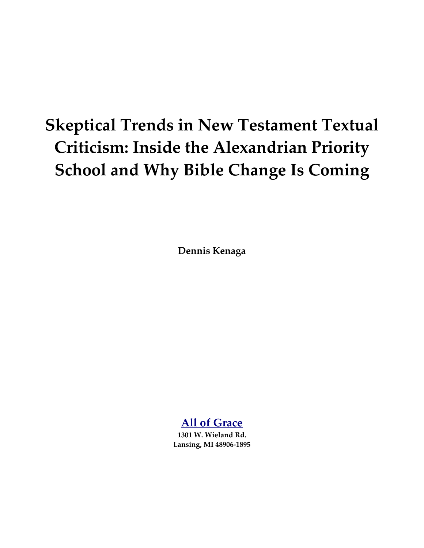# **Skeptical Trends in New Testament Textual Criticism: Inside the Alexandrian Priority School and Why Bible Change Is Coming**

**Dennis Kenaga**

# **[All of Grace](http://www.all-of-grace.org/)**

**1301 W. Wieland Rd. Lansing, MI 48906-1895**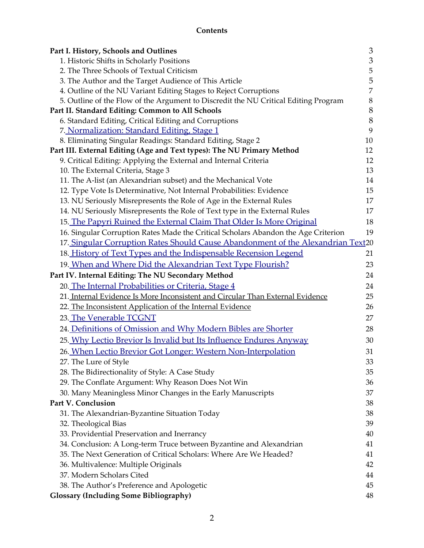# **Contents**

| Part I. History, Schools and Outlines                                               | 3              |
|-------------------------------------------------------------------------------------|----------------|
| 1. Historic Shifts in Scholarly Positions                                           | 3              |
| 2. The Three Schools of Textual Criticism                                           | $\mathbf 5$    |
| 3. The Author and the Target Audience of This Article                               | 5              |
| 4. Outline of the NU Variant Editing Stages to Reject Corruptions                   | $\overline{7}$ |
| 5. Outline of the Flow of the Argument to Discredit the NU Critical Editing Program | $\,8\,$        |
| Part II. Standard Editing: Common to All Schools                                    | $\, 8$         |
| 6. Standard Editing, Critical Editing and Corruptions                               | $8\,$          |
| 7. Normalization: Standard Editing, Stage 1                                         | 9              |
| 8. Eliminating Singular Readings: Standard Editing, Stage 2                         | 10             |
| Part III. External Editing (Age and Text types): The NU Primary Method              | 12             |
| 9. Critical Editing: Applying the External and Internal Criteria                    | 12             |
| 10. The External Criteria, Stage 3                                                  | 13             |
| 11. The A-list (an Alexandrian subset) and the Mechanical Vote                      | 14             |
| 12. Type Vote Is Determinative, Not Internal Probabilities: Evidence                | 15             |
| 13. NU Seriously Misrepresents the Role of Age in the External Rules                | 17             |
| 14. NU Seriously Misrepresents the Role of Text type in the External Rules          | 17             |
| 15. The Papyri Ruined the External Claim That Older Is More Original                | 18             |
| 16. Singular Corruption Rates Made the Critical Scholars Abandon the Age Criterion  | 19             |
| 17. Singular Corruption Rates Should Cause Abandonment of the Alexandrian Text20    |                |
| 18. History of Text Types and the Indispensable Recension Legend                    | 21             |
| 19. When and Where Did the Alexandrian Text Type Flourish?                          | 23             |
| Part IV. Internal Editing: The NU Secondary Method                                  | 24             |
| 20. The Internal Probabilities or Criteria, Stage 4                                 | 24             |
| 21. Internal Evidence Is More Inconsistent and Circular Than External Evidence      | 25             |
| 22. The Inconsistent Application of the Internal Evidence                           | 26             |
| 23. The Venerable TCGNT                                                             | 27             |
| 24. Definitions of Omission and Why Modern Bibles are Shorter                       | 28             |
| 25. Why Lectio Brevior Is Invalid but Its Influence Endures Anyway                  | 30             |
| 26. When Lectio Brevior Got Longer: Western Non-Interpolation                       | 31             |
| 27. The Lure of Style                                                               | 33             |
| 28. The Bidirectionality of Style: A Case Study                                     | 35             |
| 29. The Conflate Argument: Why Reason Does Not Win                                  | 36             |
| 30. Many Meaningless Minor Changes in the Early Manuscripts                         | 37             |
| Part V. Conclusion                                                                  | 38             |
| 31. The Alexandrian-Byzantine Situation Today                                       | 38             |
| 32. Theological Bias                                                                | 39             |
| 33. Providential Preservation and Inerrancy                                         | 40             |
| 34. Conclusion: A Long-term Truce between Byzantine and Alexandrian                 | 41             |
| 35. The Next Generation of Critical Scholars: Where Are We Headed?                  | 41             |
| 36. Multivalence: Multiple Originals                                                | 42             |
| 37. Modern Scholars Cited                                                           | 44             |
| 38. The Author's Preference and Apologetic                                          | 45             |
| <b>Glossary (Including Some Bibliography)</b>                                       | 48             |
|                                                                                     |                |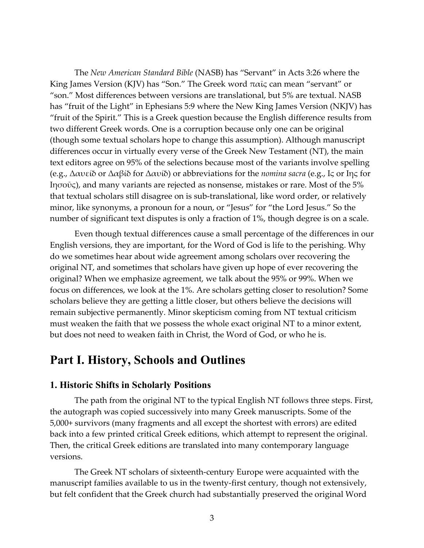The *New American Standard Bible* (NASB) has "Servant" in Acts 3:26 where the King James Version (KJV) has "Son." The Greek word  $\pi \alpha \bar{\iota}$  can mean "servant" or "son." Most differences between versions are translational, but 5% are textual. NASB has "fruit of the Light" in Ephesians 5:9 where the New King James Version (NKJV) has "fruit of the Spirit." This is a Greek question because the English difference results from two different Greek words. One is a corruption because only one can be original (though some textual scholars hope to change this assumption). Although manuscript differences occur in virtually every verse of the Greek New Testament (NT), the main text editors agree on 95% of the selections because most of the variants involve spelling (e.g., Δαυείδ or Δαβίδ for Δαυίδ) or abbreviations for the *nomina sacra* (e.g., Ις or Ιης for Ιησοῦς), and many variants are rejected as nonsense, mistakes or rare. Most of the 5% that textual scholars still disagree on is sub-translational, like word order, or relatively minor, like synonyms, a pronoun for a noun, or "Jesus" for "the Lord Jesus." So the number of significant text disputes is only a fraction of 1%, though degree is on a scale.

Even though textual differences cause a small percentage of the differences in our English versions, they are important, for the Word of God is life to the perishing. Why do we sometimes hear about wide agreement among scholars over recovering the original NT, and sometimes that scholars have given up hope of ever recovering the original? When we emphasize agreement, we talk about the 95% or 99%. When we focus on differences, we look at the 1%. Are scholars getting closer to resolution? Some scholars believe they are getting a little closer, but others believe the decisions will remain subjective permanently. Minor skepticism coming from NT textual criticism must weaken the faith that we possess the whole exact original NT to a minor extent, but does not need to weaken faith in Christ, the Word of God, or who he is.

# <span id="page-2-1"></span>**Part I. History, Schools and Outlines**

# <span id="page-2-0"></span>**1. Historic Shifts in Scholarly Positions**

The path from the original NT to the typical English NT follows three steps. First, the autograph was copied successively into many Greek manuscripts. Some of the 5,000+ survivors (many fragments and all except the shortest with errors) are edited back into a few printed critical Greek editions, which attempt to represent the original. Then, the critical Greek editions are translated into many contemporary language versions.

The Greek NT scholars of sixteenth-century Europe were acquainted with the manuscript families available to us in the twenty-first century, though not extensively, but felt confident that the Greek church had substantially preserved the original Word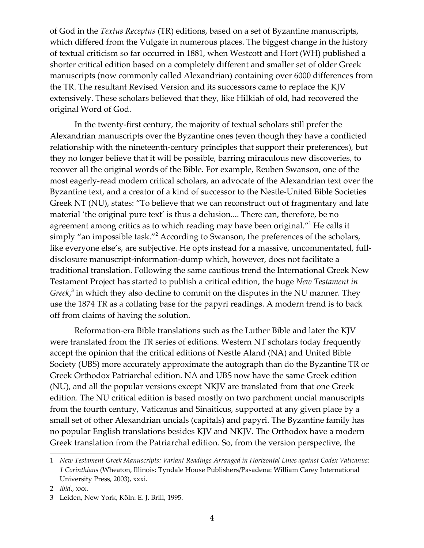of God in the *Textus Receptus* (TR) editions, based on a set of Byzantine manuscripts, which differed from the Vulgate in numerous places. The biggest change in the history of textual criticism so far occurred in 1881, when Westcott and Hort (WH) published a shorter critical edition based on a completely different and smaller set of older Greek manuscripts (now commonly called Alexandrian) containing over 6000 differences from the TR. The resultant Revised Version and its successors came to replace the KJV extensively. These scholars believed that they, like Hilkiah of old, had recovered the original Word of God.

In the twenty-first century, the majority of textual scholars still prefer the Alexandrian manuscripts over the Byzantine ones (even though they have a conflicted relationship with the nineteenth-century principles that support their preferences), but they no longer believe that it will be possible, barring miraculous new discoveries, to recover all the original words of the Bible. For example, Reuben Swanson, one of the most eagerly-read modern critical scholars, an advocate of the Alexandrian text over the Byzantine text, and a creator of a kind of successor to the Nestle-United Bible Societies Greek NT (NU), states: "To believe that we can reconstruct out of fragmentary and late material 'the original pure text' is thus a delusion.... There can, therefore, be no agreement among critics as to which reading may have been original."<sup>[1](#page-3-2)</sup> He calls it simply "an impossible task."<sup>[2](#page-3-1)</sup> According to Swanson, the preferences of the scholars, like everyone else's, are subjective. He opts instead for a massive, uncommentated, fulldisclosure manuscript-information-dump which, however, does not facilitate a traditional translation. Following the same cautious trend the International Greek New Testament Project has started to publish a critical edition, the huge *New Testament in Greek*, [3](#page-3-0) in which they also decline to commit on the disputes in the NU manner. They use the 1874 TR as a collating base for the papyri readings. A modern trend is to back off from claims of having the solution.

<span id="page-3-1"></span><span id="page-3-0"></span>Reformation-era Bible translations such as the Luther Bible and later the KJV were translated from the TR series of editions. Western NT scholars today frequently accept the opinion that the critical editions of Nestle Aland (NA) and United Bible Society (UBS) more accurately approximate the autograph than do the Byzantine TR or Greek Orthodox Patriarchal edition. NA and UBS now have the same Greek edition (NU), and all the popular versions except NKJV are translated from that one Greek edition. The NU critical edition is based mostly on two parchment uncial manuscripts from the fourth century, Vaticanus and Sinaiticus, supported at any given place by a small set of other Alexandrian uncials (capitals) and papyri. The Byzantine family has no popular English translations besides KJV and NKJV. The Orthodox have a modern Greek translation from the Patriarchal edition. So, from the version perspective, the

<span id="page-3-2"></span><sup>1</sup> *New Testament Greek Manuscripts: Variant Readings Arranged in Horizontal Lines against Codex Vaticanus: 1 Corinthians* (Wheaton, Illinois: Tyndale House Publishers/Pasadena: William Carey International University Press, 2003), xxxi.

<span id="page-3-3"></span><sup>2</sup> *Ibid*., xxx.

<span id="page-3-4"></span><sup>3</sup> Leiden, New York, Köln: E. J. Brill, 1995.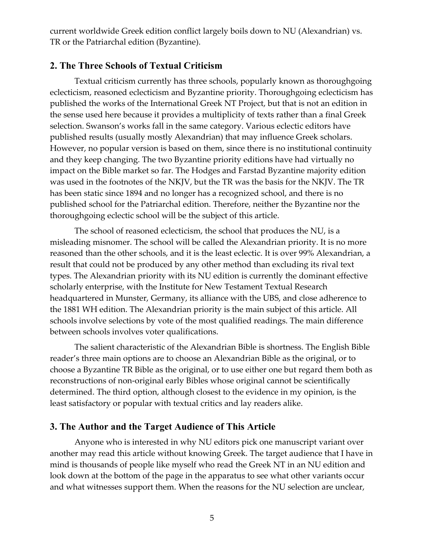current worldwide Greek edition conflict largely boils down to NU (Alexandrian) vs. TR or the Patriarchal edition (Byzantine).

#### <span id="page-4-1"></span>**2. The Three Schools of Textual Criticism**

Textual criticism currently has three schools, popularly known as thoroughgoing eclecticism, reasoned eclecticism and Byzantine priority. Thoroughgoing eclecticism has published the works of the International Greek NT Project, but that is not an edition in the sense used here because it provides a multiplicity of texts rather than a final Greek selection. Swanson's works fall in the same category. Various eclectic editors have published results (usually mostly Alexandrian) that may influence Greek scholars. However, no popular version is based on them, since there is no institutional continuity and they keep changing. The two Byzantine priority editions have had virtually no impact on the Bible market so far. The Hodges and Farstad Byzantine majority edition was used in the footnotes of the NKJV, but the TR was the basis for the NKJV. The TR has been static since 1894 and no longer has a recognized school, and there is no published school for the Patriarchal edition. Therefore, neither the Byzantine nor the thoroughgoing eclectic school will be the subject of this article.

The school of reasoned eclecticism, the school that produces the NU, is a misleading misnomer. The school will be called the Alexandrian priority. It is no more reasoned than the other schools, and it is the least eclectic. It is over 99% Alexandrian, a result that could not be produced by any other method than excluding its rival text types. The Alexandrian priority with its NU edition is currently the dominant effective scholarly enterprise, with the Institute for New Testament Textual Research headquartered in Munster, Germany, its alliance with the UBS, and close adherence to the 1881 WH edition. The Alexandrian priority is the main subject of this article. All schools involve selections by vote of the most qualified readings. The main difference between schools involves voter qualifications.

The salient characteristic of the Alexandrian Bible is shortness. The English Bible reader's three main options are to choose an Alexandrian Bible as the original, or to choose a Byzantine TR Bible as the original, or to use either one but regard them both as reconstructions of non-original early Bibles whose original cannot be scientifically determined. The third option, although closest to the evidence in my opinion, is the least satisfactory or popular with textual critics and lay readers alike.

# <span id="page-4-0"></span>**3. The Author and the Target Audience of This Article**

Anyone who is interested in why NU editors pick one manuscript variant over another may read this article without knowing Greek. The target audience that I have in mind is thousands of people like myself who read the Greek NT in an NU edition and look down at the bottom of the page in the apparatus to see what other variants occur and what witnesses support them. When the reasons for the NU selection are unclear,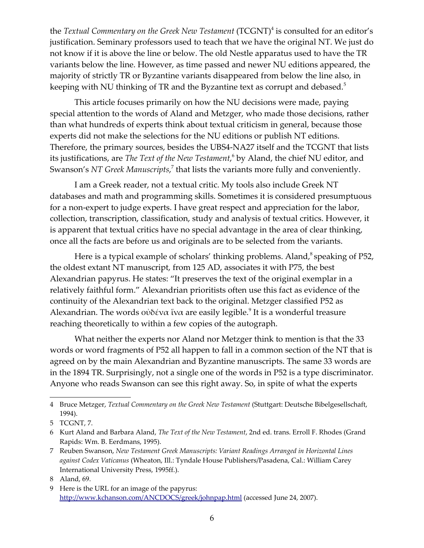the *Textual Commentary on the Greek New Testament* (TCGNT)<sup>[4](#page-5-4)</sup> is consulted for an editor's justification. Seminary professors used to teach that we have the original NT. We just do not know if it is above the line or below. The old Nestle apparatus used to have the TR variants below the line. However, as time passed and newer NU editions appeared, the majority of strictly TR or Byzantine variants disappeared from below the line also, in keeping with NU thinking of TR and the Byzantine text as corrupt and debased.<sup>[5](#page-5-3)</sup>

<span id="page-5-3"></span>This article focuses primarily on how the NU decisions were made, paying special attention to the words of Aland and Metzger, who made those decisions, rather than what hundreds of experts think about textual criticism in general, because those experts did not make the selections for the NU editions or publish NT editions. Therefore, the primary sources, besides the UBS4-NA27 itself and the TCGNT that lists its justifications, are *The Text of the New Testament*,<sup>[6](#page-5-2)</sup> by Aland, the chief NU editor, and Swanson's *NT Greek Manuscripts,*<sup>[7](#page-5-1)</sup> that lists the variants more fully and conveniently.

<span id="page-5-2"></span><span id="page-5-1"></span>I am a Greek reader, not a textual critic. My tools also include Greek NT databases and math and programming skills. Sometimes it is considered presumptuous for a non-expert to judge experts. I have great respect and appreciation for the labor, collection, transcription, classification, study and analysis of textual critics. However, it is apparent that textual critics have no special advantage in the area of clear thinking, once all the facts are before us and originals are to be selected from the variants.

Here is a typical example of scholars' thinking problems. Aland,<sup>[8](#page-5-8)</sup> speaking of P52, the oldest extant NT manuscript, from 125 AD, associates it with P75, the best Alexandrian papyrus. He states: "It preserves the text of the original exemplar in a relatively faithful form." Alexandrian prioritists often use this fact as evidence of the continuity of the Alexandrian text back to the original. Metzger classified P52 as Alexandrian. The words οὐδένα ἵνα are easily legible. $^9$  $^9$  It is a wonderful treasure reaching theoretically to within a few copies of the autograph.

<span id="page-5-0"></span>What neither the experts nor Aland nor Metzger think to mention is that the 33 words or word fragments of P52 all happen to fall in a common section of the NT that is agreed on by the main Alexandrian and Byzantine manuscripts. The same 33 words are in the 1894 TR. Surprisingly, not a single one of the words in P52 is a type discriminator. Anyone who reads Swanson can see this right away. So, in spite of what the experts

<span id="page-5-4"></span><sup>4</sup> Bruce Metzger, *Textual Commentary on the Greek New Testament* (Stuttgart: Deutsche Bibelgesellschaft, 1994).

<span id="page-5-5"></span><sup>5</sup> TCGNT, 7.

<span id="page-5-6"></span><sup>6</sup> Kurt Aland and Barbara Aland, *The Text of the New Testament*, 2nd ed. trans. Erroll F. Rhodes (Grand Rapids: Wm. B. Eerdmans, 1995).

<span id="page-5-7"></span><sup>7</sup> Reuben Swanson, *New Testament Greek Manuscripts: Variant Readings Arranged in Horizontal Lines against Codex Vaticanus* (Wheaton, Ill.: Tyndale House Publishers/Pasadena, Cal.: William Carey International University Press, 1995ff.).

<span id="page-5-8"></span><sup>8</sup> Aland, 69.

<span id="page-5-9"></span><sup>9</sup> Here is the URL for an image of the papyrus: <http://www.kchanson.com/ANCDOCS/greek/johnpap.html>(accessed June 24, 2007).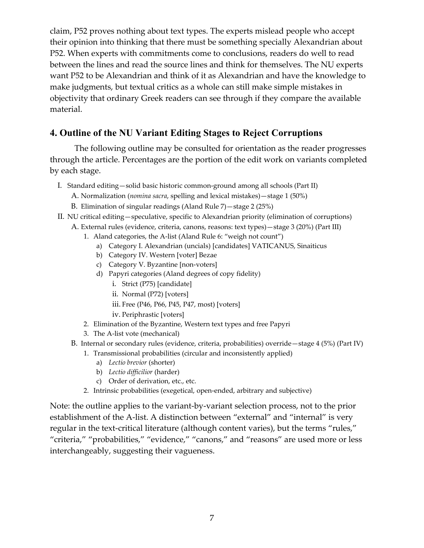claim, P52 proves nothing about text types. The experts mislead people who accept their opinion into thinking that there must be something specially Alexandrian about P52. When experts with commitments come to conclusions, readers do well to read between the lines and read the source lines and think for themselves. The NU experts want P52 to be Alexandrian and think of it as Alexandrian and have the knowledge to make judgments, but textual critics as a whole can still make simple mistakes in objectivity that ordinary Greek readers can see through if they compare the available material.

# <span id="page-6-0"></span>**4. Outline of the NU Variant Editing Stages to Reject Corruptions**

The following outline may be consulted for orientation as the reader progresses through the article. Percentages are the portion of the edit work on variants completed by each stage.

- I. Standard editing—solid basic historic common-ground among all schools [\(Part II\)](#page-7-1)
	- A. Normalization (*nomina sacra*, spelling and lexical mistakes)—stage 1 (50%)
	- B. Elimination of singular readings (Aland Rule 7)—stage 2 (25%)
- II. NU critical editing—speculative, specific to Alexandrian priority (elimination of corruptions)
	- A. External rules (evidence, criteria, canons, reasons: text types)—stage 3 (20%) [\(Part III\)](#page-11-1)
		- 1. Aland categories, the A-list (Aland Rule 6: "weigh not count")
			- a) Category I. Alexandrian (uncials) [candidates] VATICANUS, Sinaiticus
			- b) Category IV. Western [voter] Bezae
			- c) Category V. Byzantine [non-voters]
			- d) Papyri categories (Aland degrees of copy fidelity)
				- i. Strict (P75) [candidate]
				- ii. Normal (P72) [voters]
				- iii.Free (P46, P66, P45, P47, most) [voters]
				- iv. Periphrastic [voters]
		- 2. Elimination of the Byzantine, Western text types and free Papyri
		- 3. The A-list vote (mechanical)
	- B. Internal or secondary rules (evidence, criteria, probabilities) override—stage 4 (5%) [\(Part IV\)](#page-23-1)
		- 1. Transmissional probabilities (circular and inconsistently applied)
			- a) *Lectio brevior* (shorter)
			- b) *Lectio difficilior* (harder)
			- c) Order of derivation, etc., etc.
		- 2. Intrinsic probabilities (exegetical, open-ended, arbitrary and subjective)

Note: the outline applies to the variant-by-variant selection process, not to the prior establishment of the A-list. A distinction between "external" and "internal" is very regular in the text-critical literature (although content varies), but the terms "rules," "criteria," "probabilities," "evidence," "canons," and "reasons" are used more or less interchangeably, suggesting their vagueness.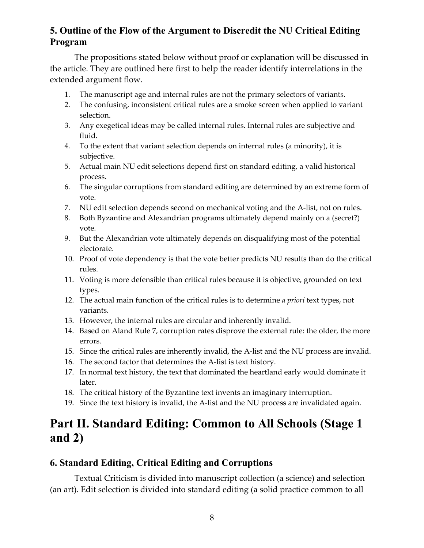# <span id="page-7-2"></span>**5. Outline of the Flow of the Argument to Discredit the NU Critical Editing Program**

The propositions stated below without proof or explanation will be discussed in the article. They are outlined here first to help the reader identify interrelations in the extended argument flow.

- 1. The manuscript age and internal rules are not the primary selectors of variants.
- 2. The confusing, inconsistent critical rules are a smoke screen when applied to variant selection.
- 3. Any exegetical ideas may be called internal rules. Internal rules are subjective and fluid.
- 4. To the extent that variant selection depends on internal rules (a minority), it is subjective.
- 5. Actual main NU edit selections depend first on standard editing, a valid historical process.
- 6. The singular corruptions from standard editing are determined by an extreme form of vote.
- 7. NU edit selection depends second on mechanical voting and the A-list, not on rules.
- 8. Both Byzantine and Alexandrian programs ultimately depend mainly on a (secret?) vote.
- 9. But the Alexandrian vote ultimately depends on disqualifying most of the potential electorate.
- 10. Proof of vote dependency is that the vote better predicts NU results than do the critical rules.
- 11. Voting is more defensible than critical rules because it is objective, grounded on text types.
- 12. The actual main function of the critical rules is to determine *a priori* text types, not variants.
- 13. However, the internal rules are circular and inherently invalid.
- 14. Based on Aland Rule 7, corruption rates disprove the external rule: the older, the more errors.
- 15. Since the critical rules are inherently invalid, the A-list and the NU process are invalid.
- 16. The second factor that determines the A-list is text history.
- 17. In normal text history, the text that dominated the heartland early would dominate it later.
- 18. The critical history of the Byzantine text invents an imaginary interruption.
- 19. Since the text history is invalid, the A-list and the NU process are invalidated again.

# <span id="page-7-1"></span>**Part II. Standard Editing: Common to All Schools (Stage 1 and 2)**

# <span id="page-7-0"></span>**6. Standard Editing, Critical Editing and Corruptions**

Textual Criticism is divided into manuscript collection (a science) and selection (an art). Edit selection is divided into standard editing (a solid practice common to all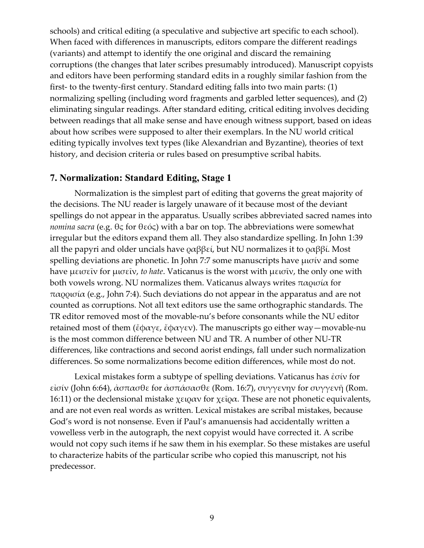schools) and critical editing (a speculative and subjective art specific to each school). When faced with differences in manuscripts, editors compare the different readings (variants) and attempt to identify the one original and discard the remaining corruptions (the changes that later scribes presumably introduced). Manuscript copyists and editors have been performing standard edits in a roughly similar fashion from the first- to the twenty-first century. Standard editing falls into two main parts: (1) normalizing spelling (including word fragments and garbled letter sequences), and (2) eliminating singular readings. After standard editing, critical editing involves deciding between readings that all make sense and have enough witness support, based on ideas about how scribes were supposed to alter their exemplars. In the NU world critical editing typically involves text types (like Alexandrian and Byzantine), theories of text history, and decision criteria or rules based on presumptive scribal habits.

#### <span id="page-8-0"></span>**7. Normalization: Standard Editing, Stage 1**

Normalization is the simplest part of editing that governs the great majority of the decisions. The NU reader is largely unaware of it because most of the deviant spellings do not appear in the apparatus. Usually scribes abbreviated sacred names into *nomina sacra* (e.g. θς for θεός) with a bar on top. The abbreviations were somewhat irregular but the editors expand them all. They also standardize spelling. In John 1:39 all the papyri and older uncials have ραββεί, but NU normalizes it to ραββί. Most spelling deviations are phonetic. In John 7:7 some manuscripts have μισίν and some have μεισεῖν for μισεῖν, *to hate*. Vaticanus is the worst with μεισῖν, the only one with both vowels wrong. NU normalizes them. Vaticanus always writes παρισία for παρρισία (e.g., John 7:4). Such deviations do not appear in the apparatus and are not counted as corruptions. Not all text editors use the same orthographic standards. The TR editor removed most of the movable-nu's before consonants while the NU editor retained most of them (ἔφαγε, ἔφαγεν). The manuscripts go either way—movable-nu is the most common difference between NU and TR. A number of other NU-TR differences, like contractions and second aorist endings, fall under such normalization differences. So some normalizations become edition differences, while most do not.

Lexical mistakes form a subtype of spelling deviations. Vaticanus has ἐσίν for εἰσίν (John 6:64), ἀσπασθε for ἀσπάσασθε (Rom. 16:7), συγγενην for συγγενῆ (Rom. 16:11) or the declensional mistake χειραν for χεῖρα. These are not phonetic equivalents, and are not even real words as written. Lexical mistakes are scribal mistakes, because God's word is not nonsense. Even if Paul's amanuensis had accidentally written a vowelless verb in the autograph, the next copyist would have corrected it. A scribe would not copy such items if he saw them in his exemplar. So these mistakes are useful to characterize habits of the particular scribe who copied this manuscript, not his predecessor.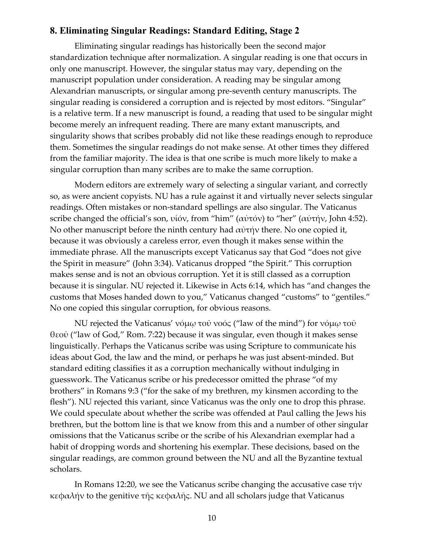#### <span id="page-9-0"></span>**8. Eliminating Singular Readings: Standard Editing, Stage 2**

Eliminating singular readings has historically been the second major standardization technique after normalization. A singular reading is one that occurs in only one manuscript. However, the singular status may vary, depending on the manuscript population under consideration. A reading may be singular among Alexandrian manuscripts, or singular among pre-seventh century manuscripts. The singular reading is considered a corruption and is rejected by most editors. "Singular" is a relative term. If a new manuscript is found, a reading that used to be singular might become merely an infrequent reading. There are many extant manuscripts, and singularity shows that scribes probably did not like these readings enough to reproduce them. Sometimes the singular readings do not make sense. At other times they differed from the familiar majority. The idea is that one scribe is much more likely to make a singular corruption than many scribes are to make the same corruption.

Modern editors are extremely wary of selecting a singular variant, and correctly so, as were ancient copyists. NU has a rule against it and virtually never selects singular readings. Often mistakes or non-standard spellings are also singular. The Vaticanus scribe changed the official's son, υἱόν, from "him" (αὐτόν) to "her" (αὐτήν, John 4:52). No other manuscript before the ninth century had αὐτήν there. No one copied it, because it was obviously a careless error, even though it makes sense within the immediate phrase. All the manuscripts except Vaticanus say that God "does not give the Spirit in measure" (John 3:34). Vaticanus dropped "the Spirit." This corruption makes sense and is not an obvious corruption. Yet it is still classed as a corruption because it is singular. NU rejected it. Likewise in Acts 6:14, which has "and changes the customs that Moses handed down to you," Vaticanus changed "customs" to "gentiles." No one copied this singular corruption, for obvious reasons.

NU rejected the Vaticanus' νόμω τοῦ νοός ("law of the mind") for νόμω τοῦ θεοῦ ("law of God," Rom. 7:22) because it was singular, even though it makes sense linguistically. Perhaps the Vaticanus scribe was using Scripture to communicate his ideas about God, the law and the mind, or perhaps he was just absent-minded. But standard editing classifies it as a corruption mechanically without indulging in guesswork. The Vaticanus scribe or his predecessor omitted the phrase "of my brothers" in Romans 9:3 ("for the sake of my brethren, my kinsmen according to the flesh"). NU rejected this variant, since Vaticanus was the only one to drop this phrase. We could speculate about whether the scribe was offended at Paul calling the Jews his brethren, but the bottom line is that we know from this and a number of other singular omissions that the Vaticanus scribe or the scribe of his Alexandrian exemplar had a habit of dropping words and shortening his exemplar. These decisions, based on the singular readings, are common ground between the NU and all the Byzantine textual scholars.

In Romans 12:20, we see the Vaticanus scribe changing the accusative case τήν κεφαλήν to the genitive τῆς κεφαλῆς. NU and all scholars judge that Vaticanus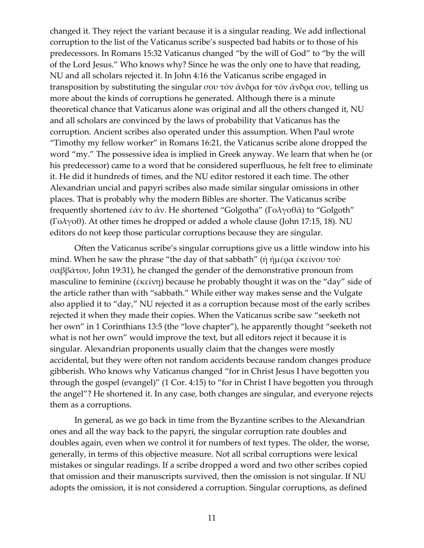changed it. They reject the variant because it is a singular reading. We add inflectional corruption to the list of the Vaticanus scribe's suspected bad habits or to those of his predecessors. In Romans 15:32 Vaticanus changed "by the will of God" to "by the will of the Lord Jesus." Who knows why? Since he was the only one to have that reading, NU and all scholars rejected it. In John 4:16 the Vaticanus scribe engaged in transposition by substituting the singular σου τόν ἄνδρα for τόν ἄνδρα σου, telling us more about the kinds of corruptions he generated. Although there is a minute theoretical chance that Vaticanus alone was original and all the others changed it, NU and all scholars are convinced by the laws of probability that Vaticanus has the corruption. Ancient scribes also operated under this assumption. When Paul wrote "Timothy my fellow worker" in Romans 16:21, the Vaticanus scribe alone dropped the word "my." The possessive idea is implied in Greek anyway. We learn that when he (or his predecessor) came to a word that he considered superfluous, he felt free to eliminate it. He did it hundreds of times, and the NU editor restored it each time. The other Alexandrian uncial and papyri scribes also made similar singular omissions in other places. That is probably why the modern Bibles are shorter. The Vaticanus scribe frequently shortened ἐάν to ἄν. He shortened "Golgotha" (Γολγοθᾶ) to "Golgoth" (Γολγοθ). At other times he dropped or added a whole clause (John 17:15, 18). NU editors do not keep those particular corruptions because they are singular.

Often the Vaticanus scribe's singular corruptions give us a little window into his mind. When he saw the phrase "the day of that sabbath" (ἡ ἡμέρα ἐκείνου τοῦ σαββάτου, John 19:31), he changed the gender of the demonstrative pronoun from masculine to feminine (ἐκείνη) because he probably thought it was on the "day" side of the article rather than with "sabbath." While either way makes sense and the Vulgate also applied it to "day," NU rejected it as a corruption because most of the early scribes rejected it when they made their copies. When the Vaticanus scribe saw "seeketh not her own" in 1 Corinthians 13:5 (the "love chapter"), he apparently thought "seeketh not what is not her own" would improve the text, but all editors reject it because it is singular. Alexandrian proponents usually claim that the changes were mostly accidental, but they were often not random accidents because random changes produce gibberish. Who knows why Vaticanus changed "for in Christ Jesus I have begotten you through the gospel (evangel)" (1 Cor. 4:15) to "for in Christ I have begotten you through the angel"? He shortened it. In any case, both changes are singular, and everyone rejects them as a corruptions.

In general, as we go back in time from the Byzantine scribes to the Alexandrian ones and all the way back to the papyri, the singular corruption rate doubles and doubles again, even when we control it for numbers of text types. The older, the worse, generally, in terms of this objective measure. Not all scribal corruptions were lexical mistakes or singular readings. If a scribe dropped a word and two other scribes copied that omission and their manuscripts survived, then the omission is not singular. If NU adopts the omission, it is not considered a corruption. Singular corruptions, as defined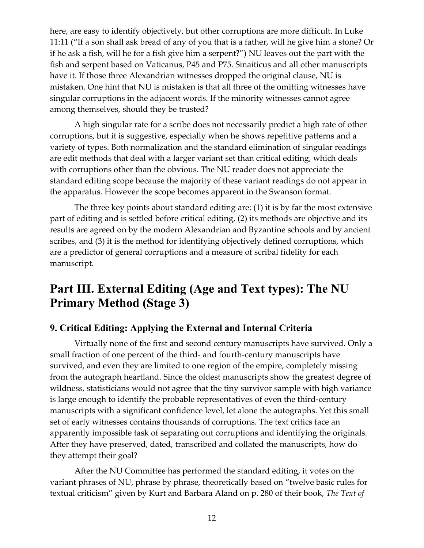here, are easy to identify objectively, but other corruptions are more difficult. In Luke 11:11 ("If a son shall ask bread of any of you that is a father, will he give him a stone? Or if he ask a fish, will he for a fish give him a serpent?") NU leaves out the part with the fish and serpent based on Vaticanus, P45 and P75. Sinaiticus and all other manuscripts have it. If those three Alexandrian witnesses dropped the original clause, NU is mistaken. One hint that NU is mistaken is that all three of the omitting witnesses have singular corruptions in the adjacent words. If the minority witnesses cannot agree among themselves, should they be trusted?

A high singular rate for a scribe does not necessarily predict a high rate of other corruptions, but it is suggestive, especially when he shows repetitive patterns and a variety of types. Both normalization and the standard elimination of singular readings are edit methods that deal with a larger variant set than critical editing, which deals with corruptions other than the obvious. The NU reader does not appreciate the standard editing scope because the majority of these variant readings do not appear in the apparatus. However the scope becomes apparent in the Swanson format.

The three key points about standard editing are: (1) it is by far the most extensive part of editing and is settled before critical editing, (2) its methods are objective and its results are agreed on by the modern Alexandrian and Byzantine schools and by ancient scribes, and (3) it is the method for identifying objectively defined corruptions, which are a predictor of general corruptions and a measure of scribal fidelity for each manuscript.

# <span id="page-11-1"></span>**Part III. External Editing (Age and Text types): The NU Primary Method (Stage 3)**

# <span id="page-11-0"></span>**9. Critical Editing: Applying the External and Internal Criteria**

Virtually none of the first and second century manuscripts have survived. Only a small fraction of one percent of the third- and fourth-century manuscripts have survived, and even they are limited to one region of the empire, completely missing from the autograph heartland. Since the oldest manuscripts show the greatest degree of wildness, statisticians would not agree that the tiny survivor sample with high variance is large enough to identify the probable representatives of even the third-century manuscripts with a significant confidence level, let alone the autographs. Yet this small set of early witnesses contains thousands of corruptions. The text critics face an apparently impossible task of separating out corruptions and identifying the originals. After they have preserved, dated, transcribed and collated the manuscripts, how do they attempt their goal?

After the NU Committee has performed the standard editing, it votes on the variant phrases of NU, phrase by phrase, theoretically based on "twelve basic rules for textual criticism" given by Kurt and Barbara Aland on p. 280 of their book, *The Text of*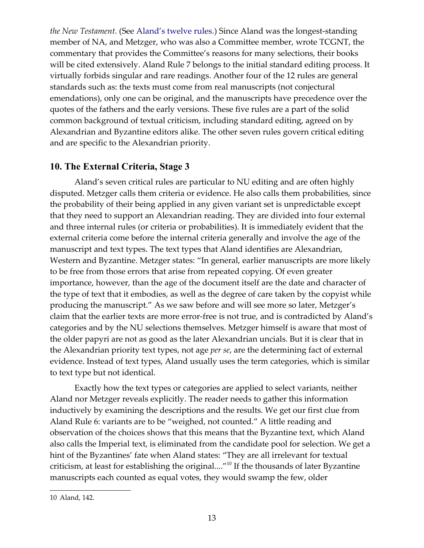*the New Testament.* (See [Aland's twelve rules.](#page-47-1)) Since Aland was the longest-standing member of NA, and Metzger, who was also a Committee member, wrote TCGNT, the commentary that provides the Committee's reasons for many selections, their books will be cited extensively. Aland Rule 7 belongs to the initial standard editing process. It virtually forbids singular and rare readings. Another four of the 12 rules are general standards such as: the texts must come from real manuscripts (not conjectural emendations), only one can be original, and the manuscripts have precedence over the quotes of the fathers and the early versions. These five rules are a part of the solid common background of textual criticism, including standard editing, agreed on by Alexandrian and Byzantine editors alike. The other seven rules govern critical editing and are specific to the Alexandrian priority.

#### <span id="page-12-0"></span>**10. The External Criteria, Stage 3**

Aland's seven critical rules are particular to NU editing and are often highly disputed. Metzger calls them criteria or evidence. He also calls them probabilities, since the probability of their being applied in any given variant set is unpredictable except that they need to support an Alexandrian reading. They are divided into four external and three internal rules (or criteria or probabilities). It is immediately evident that the external criteria come before the internal criteria generally and involve the age of the manuscript and text types. The text types that Aland identifies are Alexandrian, Western and Byzantine. Metzger states: "In general, earlier manuscripts are more likely to be free from those errors that arise from repeated copying. Of even greater importance, however, than the age of the document itself are the date and character of the type of text that it embodies, as well as the degree of care taken by the copyist while producing the manuscript." As we saw before and will see more so later, Metzger's claim that the earlier texts are more error-free is not true, and is contradicted by Aland's categories and by the NU selections themselves. Metzger himself is aware that most of the older papyri are not as good as the later Alexandrian uncials. But it is clear that in the Alexandrian priority text types, not age *per se*, are the determining fact of external evidence. Instead of text types, Aland usually uses the term categories, which is similar to text type but not identical.

Exactly how the text types or categories are applied to select variants, neither Aland nor Metzger reveals explicitly. The reader needs to gather this information inductively by examining the descriptions and the results. We get our first clue from Aland Rule 6: variants are to be "weighed, not counted." A little reading and observation of the choices shows that this means that the Byzantine text, which Aland also calls the Imperial text, is eliminated from the candidate pool for selection. We get a hint of the Byzantines' fate when Aland states: "They are all irrelevant for textual criticism, at least for establishing the original...."<sup>[10](#page-12-1)</sup> If the thousands of later Byzantine manuscripts each counted as equal votes, they would swamp the few, older

<span id="page-12-2"></span><span id="page-12-1"></span><sup>10</sup> Aland, 142.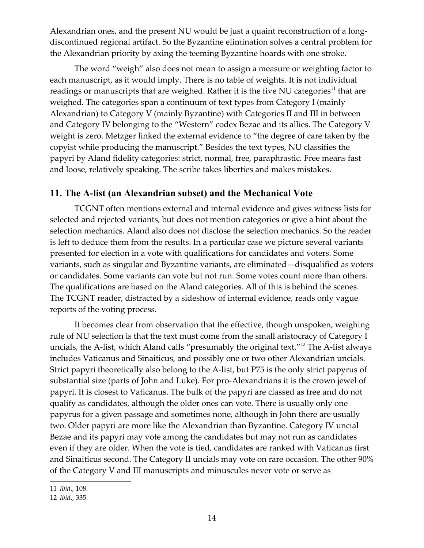Alexandrian ones, and the present NU would be just a quaint reconstruction of a longdiscontinued regional artifact. So the Byzantine elimination solves a central problem for the Alexandrian priority by axing the teeming Byzantine hoards with one stroke.

<span id="page-13-2"></span>The word "weigh" also does not mean to assign a measure or weighting factor to each manuscript, as it would imply. There is no table of weights. It is not individual readings or manuscripts that are weighed. Rather it is the five NU categories<sup>[11](#page-13-2)</sup> that are weighed. The categories span a continuum of text types from Category I (mainly Alexandrian) to Category V (mainly Byzantine) with Categories II and III in between and Category IV belonging to the "Western" codex Bezae and its allies. The Category V weight is zero. Metzger linked the external evidence to "the degree of care taken by the copyist while producing the manuscript." Besides the text types, NU classifies the papyri by Aland fidelity categories: strict, normal, free, paraphrastic. Free means fast and loose, relatively speaking. The scribe takes liberties and makes mistakes.

# <span id="page-13-0"></span>**11. The A-list (an Alexandrian subset) and the Mechanical Vote**

TCGNT often mentions external and internal evidence and gives witness lists for selected and rejected variants, but does not mention categories or give a hint about the selection mechanics. Aland also does not disclose the selection mechanics. So the reader is left to deduce them from the results. In a particular case we picture several variants presented for election in a vote with qualifications for candidates and voters. Some variants, such as singular and Byzantine variants, are eliminated—disqualified as voters or candidates. Some variants can vote but not run. Some votes count more than others. The qualifications are based on the Aland categories. All of this is behind the scenes. The TCGNT reader, distracted by a sideshow of internal evidence, reads only vague reports of the voting process.

<span id="page-13-1"></span>It becomes clear from observation that the effective, though unspoken, weighing rule of NU selection is that the text must come from the small aristocracy of Category I uncials, the A-list, which Aland calls "presumably the original text."<sup>[12](#page-13-1)</sup> The A-list always includes Vaticanus and Sinaiticus, and possibly one or two other Alexandrian uncials. Strict papyri theoretically also belong to the A-list, but P75 is the only strict papyrus of substantial size (parts of John and Luke). For pro-Alexandrians it is the crown jewel of papyri. It is closest to Vaticanus. The bulk of the papyri are classed as free and do not qualify as candidates, although the older ones can vote. There is usually only one papyrus for a given passage and sometimes none, although in John there are usually two. Older papyri are more like the Alexandrian than Byzantine. Category IV uncial Bezae and its papyri may vote among the candidates but may not run as candidates even if they are older. When the vote is tied, candidates are ranked with Vaticanus first and Sinaiticus second. The Category II uncials may vote on rare occasion. The other 90% of the Category V and III manuscripts and minuscules never vote or serve as

<span id="page-13-3"></span><sup>11</sup> *Ibid*., 108.

<span id="page-13-4"></span><sup>12</sup> *Ibid*., 335.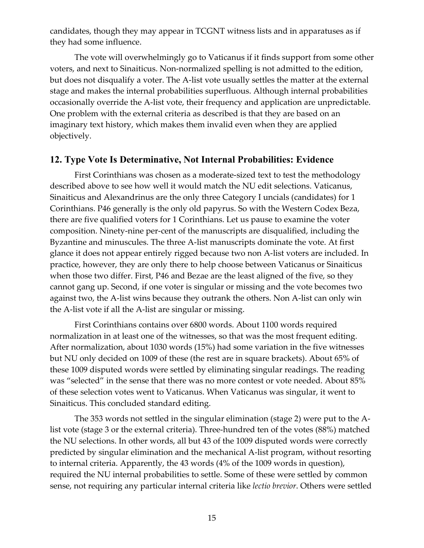candidates, though they may appear in TCGNT witness lists and in apparatuses as if they had some influence.

The vote will overwhelmingly go to Vaticanus if it finds support from some other voters, and next to Sinaiticus. Non-normalized spelling is not admitted to the edition, but does not disqualify a voter. The A-list vote usually settles the matter at the external stage and makes the internal probabilities superfluous. Although internal probabilities occasionally override the A-list vote, their frequency and application are unpredictable. One problem with the external criteria as described is that they are based on an imaginary text history, which makes them invalid even when they are applied objectively.

#### <span id="page-14-0"></span>**12. Type Vote Is Determinative, Not Internal Probabilities: Evidence**

First Corinthians was chosen as a moderate-sized text to test the methodology described above to see how well it would match the NU edit selections. Vaticanus, Sinaiticus and Alexandrinus are the only three Category I uncials (candidates) for 1 Corinthians. P46 generally is the only old papyrus. So with the Western Codex Beza, there are five qualified voters for 1 Corinthians. Let us pause to examine the voter composition. Ninety-nine per-cent of the manuscripts are disqualified, including the Byzantine and minuscules. The three A-list manuscripts dominate the vote. At first glance it does not appear entirely rigged because two non A-list voters are included. In practice, however, they are only there to help choose between Vaticanus or Sinaiticus when those two differ. First, P46 and Bezae are the least aligned of the five, so they cannot gang up. Second, if one voter is singular or missing and the vote becomes two against two, the A-list wins because they outrank the others. Non A-list can only win the A-list vote if all the A-list are singular or missing.

First Corinthians contains over 6800 words. About 1100 words required normalization in at least one of the witnesses, so that was the most frequent editing. After normalization, about 1030 words (15%) had some variation in the five witnesses but NU only decided on 1009 of these (the rest are in square brackets). About 65% of these 1009 disputed words were settled by eliminating singular readings. The reading was "selected" in the sense that there was no more contest or vote needed. About 85% of these selection votes went to Vaticanus. When Vaticanus was singular, it went to Sinaiticus. This concluded standard editing.

The 353 words not settled in the singular elimination (stage 2) were put to the Alist vote (stage 3 or the external criteria). Three-hundred ten of the votes (88%) matched the NU selections. In other words, all but 43 of the 1009 disputed words were correctly predicted by singular elimination and the mechanical A-list program, without resorting to internal criteria. Apparently, the 43 words (4% of the 1009 words in question), required the NU internal probabilities to settle. Some of these were settled by common sense, not requiring any particular internal criteria like *lectio brevior*. Others were settled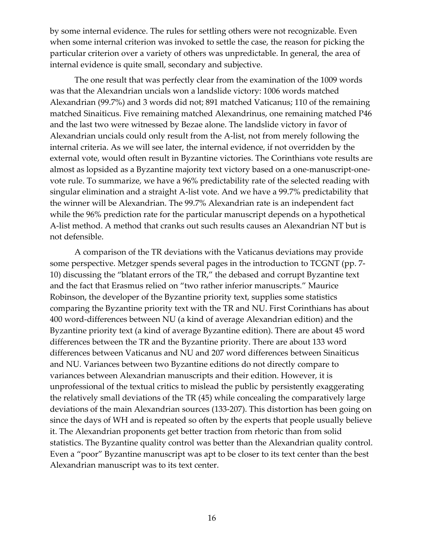by some internal evidence. The rules for settling others were not recognizable. Even when some internal criterion was invoked to settle the case, the reason for picking the particular criterion over a variety of others was unpredictable. In general, the area of internal evidence is quite small, secondary and subjective.

The one result that was perfectly clear from the examination of the 1009 words was that the Alexandrian uncials won a landslide victory: 1006 words matched Alexandrian (99.7%) and 3 words did not; 891 matched Vaticanus; 110 of the remaining matched Sinaiticus. Five remaining matched Alexandrinus, one remaining matched P46 and the last two were witnessed by Bezae alone. The landslide victory in favor of Alexandrian uncials could only result from the A-list, not from merely following the internal criteria. As we will see later, the internal evidence, if not overridden by the external vote, would often result in Byzantine victories. The Corinthians vote results are almost as lopsided as a Byzantine majority text victory based on a one-manuscript-onevote rule. To summarize, we have a 96% predictability rate of the selected reading with singular elimination and a straight A-list vote. And we have a 99.7% predictability that the winner will be Alexandrian. The 99.7% Alexandrian rate is an independent fact while the 96% prediction rate for the particular manuscript depends on a hypothetical A-list method. A method that cranks out such results causes an Alexandrian NT but is not defensible.

A comparison of the TR deviations with the Vaticanus deviations may provide some perspective. Metzger spends several pages in the introduction to TCGNT (pp. 7- 10) discussing the "blatant errors of the TR," the debased and corrupt Byzantine text and the fact that Erasmus relied on "two rather inferior manuscripts." Maurice Robinson, the developer of the Byzantine priority text, supplies some statistics comparing the Byzantine priority text with the TR and NU. First Corinthians has about 400 word-differences between NU (a kind of average Alexandrian edition) and the Byzantine priority text (a kind of average Byzantine edition). There are about 45 word differences between the TR and the Byzantine priority. There are about 133 word differences between Vaticanus and NU and 207 word differences between Sinaiticus and NU. Variances between two Byzantine editions do not directly compare to variances between Alexandrian manuscripts and their edition. However, it is unprofessional of the textual critics to mislead the public by persistently exaggerating the relatively small deviations of the TR (45) while concealing the comparatively large deviations of the main Alexandrian sources (133-207). This distortion has been going on since the days of WH and is repeated so often by the experts that people usually believe it. The Alexandrian proponents get better traction from rhetoric than from solid statistics. The Byzantine quality control was better than the Alexandrian quality control. Even a "poor" Byzantine manuscript was apt to be closer to its text center than the best Alexandrian manuscript was to its text center.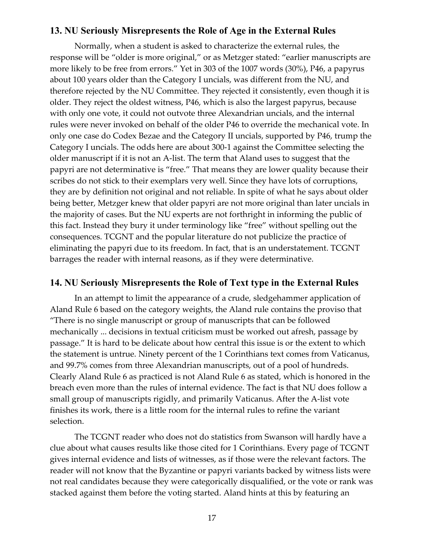# <span id="page-16-1"></span>**13. NU Seriously Misrepresents the Role of Age in the External Rules**

Normally, when a student is asked to characterize the external rules, the response will be "older is more original," or as Metzger stated: "earlier manuscripts are more likely to be free from errors." Yet in 303 of the 1007 words (30%), P46, a papyrus about 100 years older than the Category I uncials, was different from the NU, and therefore rejected by the NU Committee. They rejected it consistently, even though it is older. They reject the oldest witness, P46, which is also the largest papyrus, because with only one vote, it could not outvote three Alexandrian uncials, and the internal rules were never invoked on behalf of the older P46 to override the mechanical vote. In only one case do Codex Bezae and the Category II uncials, supported by P46, trump the Category I uncials. The odds here are about 300-1 against the Committee selecting the older manuscript if it is not an A-list. The term that Aland uses to suggest that the papyri are not determinative is "free." That means they are lower quality because their scribes do not stick to their exemplars very well. Since they have lots of corruptions, they are by definition not original and not reliable. In spite of what he says about older being better, Metzger knew that older papyri are not more original than later uncials in the majority of cases. But the NU experts are not forthright in informing the public of this fact. Instead they bury it under terminology like "free" without spelling out the consequences. TCGNT and the popular literature do not publicize the practice of eliminating the papyri due to its freedom. In fact, that is an understatement. TCGNT barrages the reader with internal reasons, as if they were determinative.

#### <span id="page-16-0"></span>**14. NU Seriously Misrepresents the Role of Text type in the External Rules**

In an attempt to limit the appearance of a crude, sledgehammer application of Aland Rule 6 based on the category weights, the Aland rule contains the proviso that "There is no single manuscript or group of manuscripts that can be followed mechanically ... decisions in textual criticism must be worked out afresh, passage by passage." It is hard to be delicate about how central this issue is or the extent to which the statement is untrue. Ninety percent of the 1 Corinthians text comes from Vaticanus, and 99.7% comes from three Alexandrian manuscripts, out of a pool of hundreds. Clearly Aland Rule 6 as practiced is not Aland Rule 6 as stated, which is honored in the breach even more than the rules of internal evidence. The fact is that NU does follow a small group of manuscripts rigidly, and primarily Vaticanus. After the A-list vote finishes its work, there is a little room for the internal rules to refine the variant selection.

The TCGNT reader who does not do statistics from Swanson will hardly have a clue about what causes results like those cited for 1 Corinthians. Every page of TCGNT gives internal evidence and lists of witnesses, as if those were the relevant factors. The reader will not know that the Byzantine or papyri variants backed by witness lists were not real candidates because they were categorically disqualified, or the vote or rank was stacked against them before the voting started. Aland hints at this by featuring an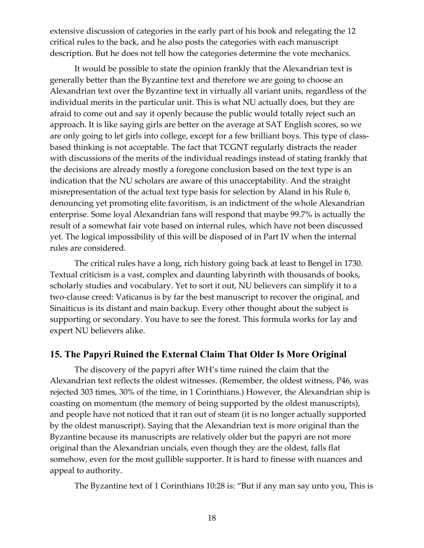extensive discussion of categories in the early part of his book and relegating the 12 critical rules to the back, and he also posts the categories with each manuscript description. But he does not tell how the categories determine the vote mechanics.

It would be possible to state the opinion frankly that the Alexandrian text is generally better than the Byzantine text and therefore we are going to choose an Alexandrian text over the Byzantine text in virtually all variant units, regardless of the individual merits in the particular unit. This is what NU actually does, but they are afraid to come out and say it openly because the public would totally reject such an approach. It is like saying girls are better on the average at SAT English scores, so we are only going to let girls into college, except for a few brilliant boys. This type of classbased thinking is not acceptable. The fact that TCGNT regularly distracts the reader with discussions of the merits of the individual readings instead of stating frankly that the decisions are already mostly a foregone conclusion based on the text type is an indication that the NU scholars are aware of this unacceptability. And the straight misrepresentation of the actual text type basis for selection by Aland in his Rule 6, denouncing yet promoting elite favoritism, is an indictment of the whole Alexandrian enterprise. Some loyal Alexandrian fans will respond that maybe 99.7% is actually the result of a somewhat fair vote based on internal rules, which have not been discussed yet. The logical impossibility of this will be disposed of in Part IV when the internal rules are considered.

The critical rules have a long, rich history going back at least to Bengel in 1730. Textual criticism is a vast, complex and daunting labyrinth with thousands of books, scholarly studies and vocabulary. Yet to sort it out, NU believers can simplify it to a two-clause creed: Vaticanus is by far the best manuscript to recover the original, and Sinaiticus is its distant and main backup. Every other thought about the subject is supporting or secondary. You have to see the forest. This formula works for lay and expert NU believers alike.

#### <span id="page-17-0"></span>**15. The Papyri Ruined the External Claim That Older Is More Original**

The discovery of the papyri after WH's time ruined the claim that the Alexandrian text reflects the oldest witnesses. (Remember, the oldest witness, P46, was rejected 303 times, 30% of the time, in 1 Corinthians.) However, the Alexandrian ship is coasting on momentum (the memory of being supported by the oldest manuscripts), and people have not noticed that it ran out of steam (it is no longer actually supported by the oldest manuscript). Saying that the Alexandrian text is more original than the Byzantine because its manuscripts are relatively older but the papyri are not more original than the Alexandrian uncials, even though they are the oldest, falls flat somehow, even for the most gullible supporter. It is hard to finesse with nuances and appeal to authority.

The Byzantine text of 1 Corinthians 10:28 is: "But if any man say unto you, This is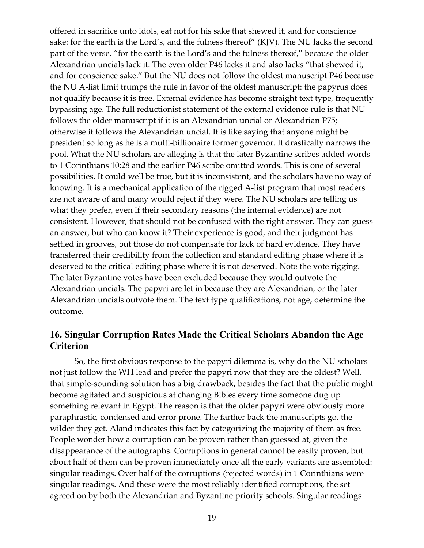offered in sacrifice unto idols, eat not for his sake that shewed it, and for conscience sake: for the earth is the Lord's, and the fulness thereof" (KJV). The NU lacks the second part of the verse, "for the earth is the Lord's and the fulness thereof," because the older Alexandrian uncials lack it. The even older P46 lacks it and also lacks "that shewed it, and for conscience sake." But the NU does not follow the oldest manuscript P46 because the NU A-list limit trumps the rule in favor of the oldest manuscript: the papyrus does not qualify because it is free. External evidence has become straight text type, frequently bypassing age. The full reductionist statement of the external evidence rule is that NU follows the older manuscript if it is an Alexandrian uncial or Alexandrian P75; otherwise it follows the Alexandrian uncial. It is like saying that anyone might be president so long as he is a multi-billionaire former governor. It drastically narrows the pool. What the NU scholars are alleging is that the later Byzantine scribes added words to 1 Corinthians 10:28 and the earlier P46 scribe omitted words. This is one of several possibilities. It could well be true, but it is inconsistent, and the scholars have no way of knowing. It is a mechanical application of the rigged A-list program that most readers are not aware of and many would reject if they were. The NU scholars are telling us what they prefer, even if their secondary reasons (the internal evidence) are not consistent. However, that should not be confused with the right answer. They can guess an answer, but who can know it? Their experience is good, and their judgment has settled in grooves, but those do not compensate for lack of hard evidence. They have transferred their credibility from the collection and standard editing phase where it is deserved to the critical editing phase where it is not deserved. Note the vote rigging. The later Byzantine votes have been excluded because they would outvote the Alexandrian uncials. The papyri are let in because they are Alexandrian, or the later Alexandrian uncials outvote them. The text type qualifications, not age, determine the outcome.

# <span id="page-18-0"></span>**16. Singular Corruption Rates Made the Critical Scholars Abandon the Age Criterion**

So, the first obvious response to the papyri dilemma is, why do the NU scholars not just follow the WH lead and prefer the papyri now that they are the oldest? Well, that simple-sounding solution has a big drawback, besides the fact that the public might become agitated and suspicious at changing Bibles every time someone dug up something relevant in Egypt. The reason is that the older papyri were obviously more paraphrastic, condensed and error prone. The farther back the manuscripts go, the wilder they get. Aland indicates this fact by categorizing the majority of them as free. People wonder how a corruption can be proven rather than guessed at, given the disappearance of the autographs. Corruptions in general cannot be easily proven, but about half of them can be proven immediately once all the early variants are assembled: singular readings. Over half of the corruptions (rejected words) in 1 Corinthians were singular readings. And these were the most reliably identified corruptions, the set agreed on by both the Alexandrian and Byzantine priority schools. Singular readings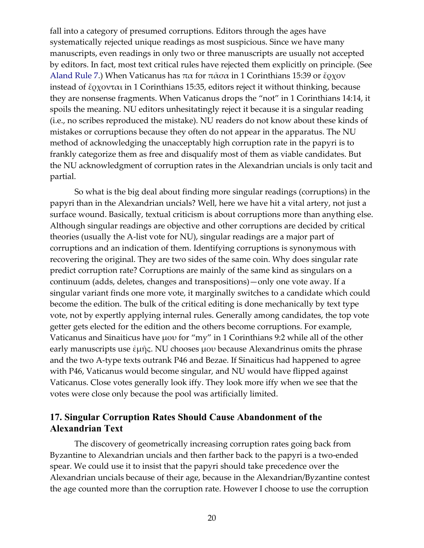fall into a category of presumed corruptions. Editors through the ages have systematically rejected unique readings as most suspicious. Since we have many manuscripts, even readings in only two or three manuscripts are usually not accepted by editors. In fact, most text critical rules have rejected them explicitly on principle. (See [Aland Rule 7.](#page-49-0)) When Vaticanus has  $πα$  for  $πασα$  in 1 Corinthians 15:39 or  $\epsilon$  ε εγχον instead of ἔρχονται in 1 Corinthians 15:35, editors reject it without thinking, because they are nonsense fragments. When Vaticanus drops the "not" in 1 Corinthians 14:14, it spoils the meaning. NU editors unhesitatingly reject it because it is a singular reading (i.e., no scribes reproduced the mistake). NU readers do not know about these kinds of mistakes or corruptions because they often do not appear in the apparatus. The NU method of acknowledging the unacceptably high corruption rate in the papyri is to frankly categorize them as free and disqualify most of them as viable candidates. But the NU acknowledgment of corruption rates in the Alexandrian uncials is only tacit and partial.

So what is the big deal about finding more singular readings (corruptions) in the papyri than in the Alexandrian uncials? Well, here we have hit a vital artery, not just a surface wound. Basically, textual criticism is about corruptions more than anything else. Although singular readings are objective and other corruptions are decided by critical theories (usually the A-list vote for NU), singular readings are a major part of corruptions and an indication of them. Identifying corruptions is synonymous with recovering the original. They are two sides of the same coin. Why does singular rate predict corruption rate? Corruptions are mainly of the same kind as singulars on a continuum (adds, deletes, changes and transpositions)—only one vote away. If a singular variant finds one more vote, it marginally switches to a candidate which could become the edition. The bulk of the critical editing is done mechanically by text type vote, not by expertly applying internal rules. Generally among candidates, the top vote getter gets elected for the edition and the others become corruptions. For example, Vaticanus and Sinaiticus have μου for "my" in 1 Corinthians 9:2 while all of the other early manuscripts use ἐμῆς. NU chooses μου because Alexandrinus omits the phrase and the two A-type texts outrank P46 and Bezae. If Sinaiticus had happened to agree with P46, Vaticanus would become singular, and NU would have flipped against Vaticanus. Close votes generally look iffy. They look more iffy when we see that the votes were close only because the pool was artificially limited.

# <span id="page-19-0"></span>**17. Singular Corruption Rates Should Cause Abandonment of the Alexandrian Text**

The discovery of geometrically increasing corruption rates going back from Byzantine to Alexandrian uncials and then farther back to the papyri is a two-ended spear. We could use it to insist that the papyri should take precedence over the Alexandrian uncials because of their age, because in the Alexandrian/Byzantine contest the age counted more than the corruption rate. However I choose to use the corruption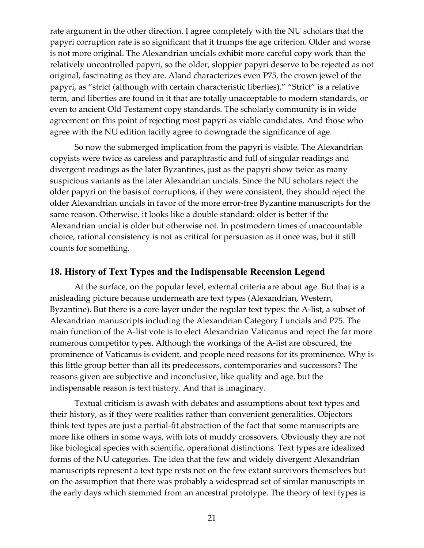rate argument in the other direction. I agree completely with the NU scholars that the papyri corruption rate is so significant that it trumps the age criterion. Older and worse is not more original. The Alexandrian uncials exhibit more careful copy work than the relatively uncontrolled papyri, so the older, sloppier papyri deserve to be rejected as not original, fascinating as they are. Aland characterizes even P75, the crown jewel of the papyri, as "strict (although with certain characteristic liberties)." "Strict" is a relative term, and liberties are found in it that are totally unacceptable to modern standards, or even to ancient Old Testament copy standards. The scholarly community is in wide agreement on this point of rejecting most papyri as viable candidates. And those who agree with the NU edition tacitly agree to downgrade the significance of age.

So now the submerged implication from the papyri is visible. The Alexandrian copyists were twice as careless and paraphrastic and full of singular readings and divergent readings as the later Byzantines, just as the papyri show twice as many suspicious variants as the later Alexandrian uncials. Since the NU scholars reject the older papyri on the basis of corruptions, if they were consistent, they should reject the older Alexandrian uncials in favor of the more error-free Byzantine manuscripts for the same reason. Otherwise, it looks like a double standard: older is better if the Alexandrian uncial is older but otherwise not. In postmodern times of unaccountable choice, rational consistency is not as critical for persuasion as it once was, but it still counts for something.

#### <span id="page-20-0"></span>**18. History of Text Types and the Indispensable Recension Legend**

At the surface, on the popular level, external criteria are about age. But that is a misleading picture because underneath are text types (Alexandrian, Western, Byzantine). But there is a core layer under the regular text types: the A-list, a subset of Alexandrian manuscripts including the Alexandrian Category I uncials and P75. The main function of the A-list vote is to elect Alexandrian Vaticanus and reject the far more numerous competitor types. Although the workings of the A-list are obscured, the prominence of Vaticanus is evident, and people need reasons for its prominence. Why is this little group better than all its predecessors, contemporaries and successors? The reasons given are subjective and inconclusive, like quality and age, but the indispensable reason is text history. And that is imaginary.

Textual criticism is awash with debates and assumptions about text types and their history, as if they were realities rather than convenient generalities. Objectors think text types are just a partial-fit abstraction of the fact that some manuscripts are more like others in some ways, with lots of muddy crossovers. Obviously they are not like biological species with scientific, operational distinctions. Text types are idealized forms of the NU categories. The idea that the few and widely divergent Alexandrian manuscripts represent a text type rests not on the few extant survivors themselves but on the assumption that there was probably a widespread set of similar manuscripts in the early days which stemmed from an ancestral prototype. The theory of text types is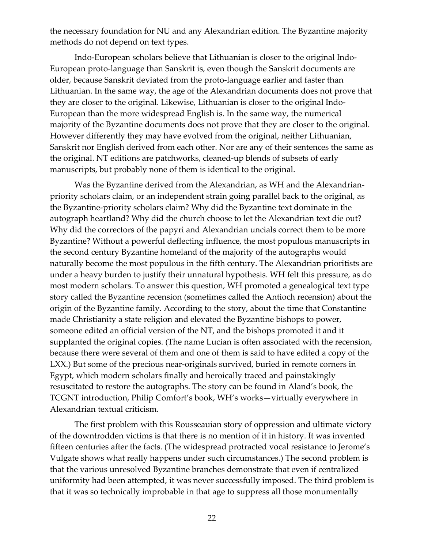the necessary foundation for NU and any Alexandrian edition. The Byzantine majority methods do not depend on text types.

Indo-European scholars believe that Lithuanian is closer to the original Indo-European proto-language than Sanskrit is, even though the Sanskrit documents are older, because Sanskrit deviated from the proto-language earlier and faster than Lithuanian. In the same way, the age of the Alexandrian documents does not prove that they are closer to the original. Likewise, Lithuanian is closer to the original Indo-European than the more widespread English is. In the same way, the numerical majority of the Byzantine documents does not prove that they are closer to the original. However differently they may have evolved from the original, neither Lithuanian, Sanskrit nor English derived from each other. Nor are any of their sentences the same as the original. NT editions are patchworks, cleaned-up blends of subsets of early manuscripts, but probably none of them is identical to the original.

Was the Byzantine derived from the Alexandrian, as WH and the Alexandrianpriority scholars claim, or an independent strain going parallel back to the original, as the Byzantine-priority scholars claim? Why did the Byzantine text dominate in the autograph heartland? Why did the church choose to let the Alexandrian text die out? Why did the correctors of the papyri and Alexandrian uncials correct them to be more Byzantine? Without a powerful deflecting influence, the most populous manuscripts in the second century Byzantine homeland of the majority of the autographs would naturally become the most populous in the fifth century. The Alexandrian prioritists are under a heavy burden to justify their unnatural hypothesis. WH felt this pressure, as do most modern scholars. To answer this question, WH promoted a genealogical text type story called the Byzantine recension (sometimes called the Antioch recension) about the origin of the Byzantine family. According to the story, about the time that Constantine made Christianity a state religion and elevated the Byzantine bishops to power, someone edited an official version of the NT, and the bishops promoted it and it supplanted the original copies. (The name Lucian is often associated with the recension, because there were several of them and one of them is said to have edited a copy of the LXX.) But some of the precious near-originals survived, buried in remote corners in Egypt, which modern scholars finally and heroically traced and painstakingly resuscitated to restore the autographs. The story can be found in Aland's book, the TCGNT introduction, Philip Comfort's book, WH's works—virtually everywhere in Alexandrian textual criticism.

The first problem with this Rousseauian story of oppression and ultimate victory of the downtrodden victims is that there is no mention of it in history. It was invented fifteen centuries after the facts. (The widespread protracted vocal resistance to Jerome's Vulgate shows what really happens under such circumstances.) The second problem is that the various unresolved Byzantine branches demonstrate that even if centralized uniformity had been attempted, it was never successfully imposed. The third problem is that it was so technically improbable in that age to suppress all those monumentally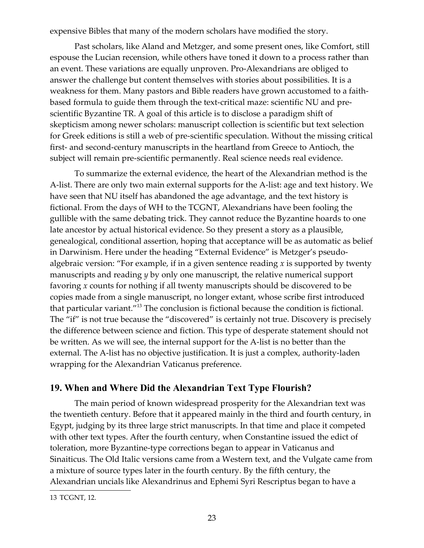expensive Bibles that many of the modern scholars have modified the story.

Past scholars, like Aland and Metzger, and some present ones, like Comfort, still espouse the Lucian recension, while others have toned it down to a process rather than an event. These variations are equally unproven. Pro-Alexandrians are obliged to answer the challenge but content themselves with stories about possibilities. It is a weakness for them. Many pastors and Bible readers have grown accustomed to a faithbased formula to guide them through the text-critical maze: scientific NU and prescientific Byzantine TR. A goal of this article is to disclose a paradigm shift of skepticism among newer scholars: manuscript collection is scientific but text selection for Greek editions is still a web of pre-scientific speculation. Without the missing critical first- and second-century manuscripts in the heartland from Greece to Antioch, the subject will remain pre-scientific permanently. Real science needs real evidence.

To summarize the external evidence, the heart of the Alexandrian method is the A-list. There are only two main external supports for the A-list: age and text history. We have seen that NU itself has abandoned the age advantage, and the text history is fictional. From the days of WH to the TCGNT, Alexandrians have been fooling the gullible with the same debating trick. They cannot reduce the Byzantine hoards to one late ancestor by actual historical evidence. So they present a story as a plausible, genealogical, conditional assertion, hoping that acceptance will be as automatic as belief in Darwinism. Here under the heading "External Evidence" is Metzger's pseudoalgebraic version: "For example, if in a given sentence reading *x* is supported by twenty manuscripts and reading *y* by only one manuscript, the relative numerical support favoring *x* counts for nothing if all twenty manuscripts should be discovered to be copies made from a single manuscript, no longer extant, whose scribe first introduced that particular variant."[13](#page-22-1) The conclusion is fictional because the condition is fictional. The "if" is not true because the "discovered" is certainly not true. Discovery is precisely the difference between science and fiction. This type of desperate statement should not be written. As we will see, the internal support for the A-list is no better than the external. The A-list has no objective justification. It is just a complex, authority-laden wrapping for the Alexandrian Vaticanus preference.

# <span id="page-22-1"></span><span id="page-22-0"></span>**19. When and Where Did the Alexandrian Text Type Flourish?**

The main period of known widespread prosperity for the Alexandrian text was the twentieth century. Before that it appeared mainly in the third and fourth century, in Egypt, judging by its three large strict manuscripts. In that time and place it competed with other text types. After the fourth century, when Constantine issued the edict of toleration, more Byzantine-type corrections began to appear in Vaticanus and Sinaiticus. The Old Italic versions came from a Western text, and the Vulgate came from a mixture of source types later in the fourth century. By the fifth century, the Alexandrian uncials like Alexandrinus and Ephemi Syri Rescriptus began to have a

<span id="page-22-2"></span><sup>13</sup> TCGNT, 12.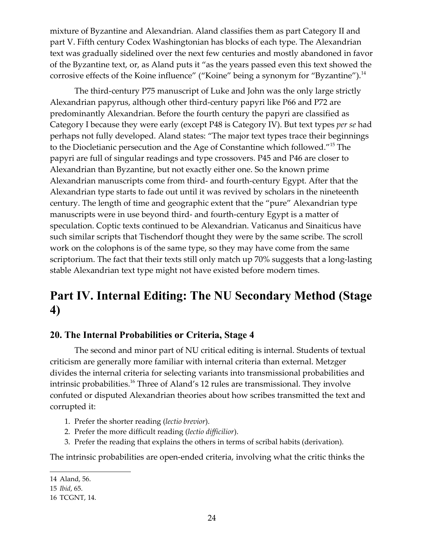mixture of Byzantine and Alexandrian. Aland classifies them as part Category II and part V. Fifth century Codex Washingtonian has blocks of each type. The Alexandrian text was gradually sidelined over the next few centuries and mostly abandoned in favor of the Byzantine text, or, as Aland puts it "as the years passed even this text showed the corrosive effects of the Koine influence" ("Koine" being a synonym for "Byzantine").<sup>[14](#page-23-3)</sup>

<span id="page-23-3"></span><span id="page-23-2"></span>The third-century P75 manuscript of Luke and John was the only large strictly Alexandrian papyrus, although other third-century papyri like P66 and P72 are predominantly Alexandrian. Before the fourth century the papyri are classified as Category I because they were early (except P48 is Category IV). But text types *per se* had perhaps not fully developed. Aland states: "The major text types trace their beginnings to the Diocletianic persecution and the Age of Constantine which followed."[15](#page-23-2) The papyri are full of singular readings and type crossovers. P45 and P46 are closer to Alexandrian than Byzantine, but not exactly either one. So the known prime Alexandrian manuscripts come from third- and fourth-century Egypt. After that the Alexandrian type starts to fade out until it was revived by scholars in the nineteenth century. The length of time and geographic extent that the "pure" Alexandrian type manuscripts were in use beyond third- and fourth-century Egypt is a matter of speculation. Coptic texts continued to be Alexandrian. Vaticanus and Sinaiticus have such similar scripts that Tischendorf thought they were by the same scribe. The scroll work on the colophons is of the same type, so they may have come from the same scriptorium. The fact that their texts still only match up 70% suggests that a long-lasting stable Alexandrian text type might not have existed before modern times.

# <span id="page-23-1"></span>**Part IV. Internal Editing: The NU Secondary Method (Stage 4)**

# <span id="page-23-0"></span>**20. The Internal Probabilities or Criteria, Stage 4**

The second and minor part of NU critical editing is internal. Students of textual criticism are generally more familiar with internal criteria than external. Metzger divides the internal criteria for selecting variants into transmissional probabilities and intrinsic probabilities.<sup>[16](#page-23-6)</sup> Three of Aland's 12 rules are transmissional. They involve confuted or disputed Alexandrian theories about how scribes transmitted the text and corrupted it:

- 1. Prefer the shorter reading (*lectio brevior*).
- 2. Prefer the more difficult reading (*lectio difficilior*).
- 3. Prefer the reading that explains the others in terms of scribal habits (derivation).

The intrinsic probabilities are open-ended criteria, involving what the critic thinks the

<span id="page-23-4"></span><sup>14</sup> Aland, 56.

<span id="page-23-5"></span><sup>15</sup> *Ibid*, 65.

<span id="page-23-6"></span><sup>16</sup> TCGNT, 14.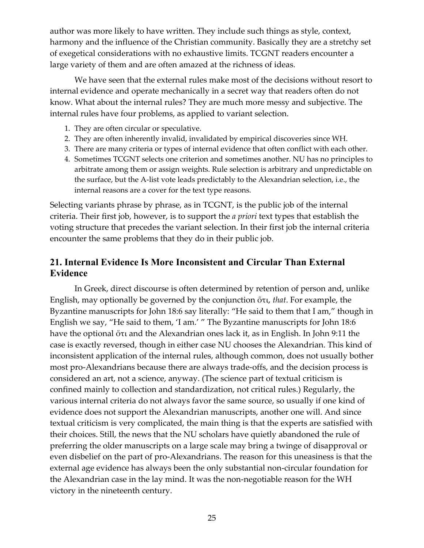author was more likely to have written. They include such things as style, context, harmony and the influence of the Christian community. Basically they are a stretchy set of exegetical considerations with no exhaustive limits. TCGNT readers encounter a large variety of them and are often amazed at the richness of ideas.

We have seen that the external rules make most of the decisions without resort to internal evidence and operate mechanically in a secret way that readers often do not know. What about the internal rules? They are much more messy and subjective. The internal rules have four problems, as applied to variant selection.

- 1. They are often circular or speculative.
- 2. They are often inherently invalid, invalidated by empirical discoveries since WH.
- 3. There are many criteria or types of internal evidence that often conflict with each other.
- 4. Sometimes TCGNT selects one criterion and sometimes another. NU has no principles to arbitrate among them or assign weights. Rule selection is arbitrary and unpredictable on the surface, but the A-list vote leads predictably to the Alexandrian selection, i.e., the internal reasons are a cover for the text type reasons.

Selecting variants phrase by phrase, as in TCGNT, is the public job of the internal criteria. Their first job, however, is to support the *a priori* text types that establish the voting structure that precedes the variant selection. In their first job the internal criteria encounter the same problems that they do in their public job.

# <span id="page-24-0"></span>**21. Internal Evidence Is More Inconsistent and Circular Than External Evidence**

In Greek, direct discourse is often determined by retention of person and, unlike English, may optionally be governed by the conjunction ὅτι, *that*. For example, the Byzantine manuscripts for John 18:6 say literally: "He said to them that I am," though in English we say, "He said to them, 'I am.' " The Byzantine manuscripts for John 18:6 have the optional ὅτι and the Alexandrian ones lack it, as in English. In John 9:11 the case is exactly reversed, though in either case NU chooses the Alexandrian. This kind of inconsistent application of the internal rules, although common, does not usually bother most pro-Alexandrians because there are always trade-offs, and the decision process is considered an art, not a science, anyway. (The science part of textual criticism is confined mainly to collection and standardization, not critical rules.) Regularly, the various internal criteria do not always favor the same source, so usually if one kind of evidence does not support the Alexandrian manuscripts, another one will. And since textual criticism is very complicated, the main thing is that the experts are satisfied with their choices. Still, the news that the NU scholars have quietly abandoned the rule of preferring the older manuscripts on a large scale may bring a twinge of disapproval or even disbelief on the part of pro-Alexandrians. The reason for this uneasiness is that the external age evidence has always been the only substantial non-circular foundation for the Alexandrian case in the lay mind. It was the non-negotiable reason for the WH victory in the nineteenth century.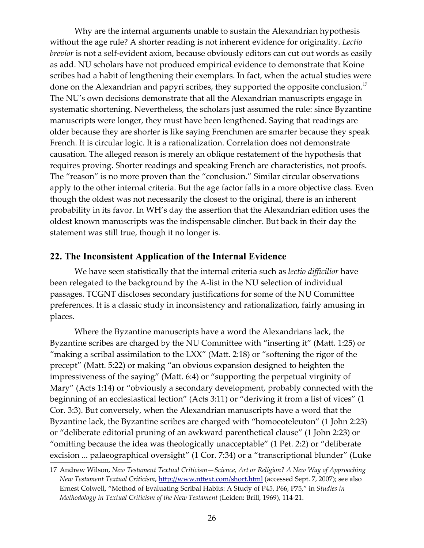<span id="page-25-1"></span>Why are the internal arguments unable to sustain the Alexandrian hypothesis without the age rule? A shorter reading is not inherent evidence for originality. *Lectio brevior* is not a self-evident axiom, because obviously editors can cut out words as easily as add. NU scholars have not produced empirical evidence to demonstrate that Koine scribes had a habit of lengthening their exemplars. In fact, when the actual studies were done on the Alexandrian and papyri scribes, they supported the opposite conclusion.<sup>[17](#page-25-1)</sup> The NU's own decisions demonstrate that all the Alexandrian manuscripts engage in systematic shortening. Nevertheless, the scholars just assumed the rule: since Byzantine manuscripts were longer, they must have been lengthened. Saying that readings are older because they are shorter is like saying Frenchmen are smarter because they speak French. It is circular logic. It is a rationalization. Correlation does not demonstrate causation. The alleged reason is merely an oblique restatement of the hypothesis that requires proving. Shorter readings and speaking French are characteristics, not proofs. The "reason" is no more proven than the "conclusion." Similar circular observations apply to the other internal criteria. But the age factor falls in a more objective class. Even though the oldest was not necessarily the closest to the original, there is an inherent probability in its favor. In WH's day the assertion that the Alexandrian edition uses the oldest known manuscripts was the indispensable clincher. But back in their day the statement was still true, though it no longer is.

# <span id="page-25-0"></span>**22. The Inconsistent Application of the Internal Evidence**

We have seen statistically that the internal criteria such as *lectio difficilior* have been relegated to the background by the A-list in the NU selection of individual passages. TCGNT discloses secondary justifications for some of the NU Committee preferences. It is a classic study in inconsistency and rationalization, fairly amusing in places.

Where the Byzantine manuscripts have a word the Alexandrians lack, the Byzantine scribes are charged by the NU Committee with "inserting it" (Matt. 1:25) or "making a scribal assimilation to the LXX" (Matt. 2:18) or "softening the rigor of the precept" (Matt. 5:22) or making "an obvious expansion designed to heighten the impressiveness of the saying" (Matt. 6:4) or "supporting the perpetual virginity of Mary" (Acts 1:14) or "obviously a secondary development, probably connected with the beginning of an ecclesiastical lection" (Acts 3:11) or "deriving it from a list of vices" (1 Cor. 3:3). But conversely, when the Alexandrian manuscripts have a word that the Byzantine lack, the Byzantine scribes are charged with "homoeoteleuton" (1 John 2:23) or "deliberate editorial pruning of an awkward parenthetical clause" (1 John 2:23) or "omitting because the idea was theologically unacceptable" (1 Pet. 2:2) or "deliberate excision ... palaeographical oversight" (1 Cor. 7:34) or a "transcriptional blunder" (Luke

<span id="page-25-2"></span><sup>17</sup> Andrew Wilson, *New Testament Textual Criticism—Science, Art or Religion? A New Way of Approaching New Testament Textual Criticism*,<http://www.nttext.com/short.html>(accessed Sept. 7, 2007); see also Ernest Colwell, "Method of Evaluating Scribal Habits: A Study of P45, P66, P75," in *Studies in Methodology in Textual Criticism of the New Testament* (Leiden: Brill, 1969), 114-21.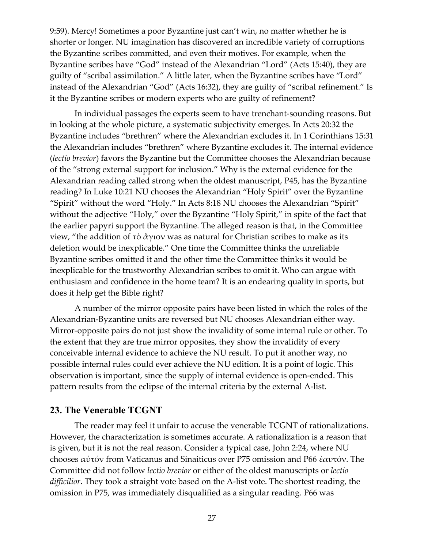9:59). Mercy! Sometimes a poor Byzantine just can't win, no matter whether he is shorter or longer. NU imagination has discovered an incredible variety of corruptions the Byzantine scribes committed, and even their motives. For example, when the Byzantine scribes have "God" instead of the Alexandrian "Lord" (Acts 15:40), they are guilty of "scribal assimilation." A little later, when the Byzantine scribes have "Lord" instead of the Alexandrian "God" (Acts 16:32), they are guilty of "scribal refinement." Is it the Byzantine scribes or modern experts who are guilty of refinement?

In individual passages the experts seem to have trenchant-sounding reasons. But in looking at the whole picture, a systematic subjectivity emerges. In Acts 20:32 the Byzantine includes "brethren" where the Alexandrian excludes it. In 1 Corinthians 15:31 the Alexandrian includes "brethren" where Byzantine excludes it. The internal evidence (*lectio brevior*) favors the Byzantine but the Committee chooses the Alexandrian because of the "strong external support for inclusion." Why is the external evidence for the Alexandrian reading called strong when the oldest manuscript, P45, has the Byzantine reading? In Luke 10:21 NU chooses the Alexandrian "Holy Spirit" over the Byzantine "Spirit" without the word "Holy." In Acts 8:18 NU chooses the Alexandrian "Spirit" without the adjective "Holy," over the Byzantine "Holy Spirit," in spite of the fact that the earlier papyri support the Byzantine. The alleged reason is that, in the Committee view, "the addition of τὸ ἄγιον was as natural for Christian scribes to make as its deletion would be inexplicable." One time the Committee thinks the unreliable Byzantine scribes omitted it and the other time the Committee thinks it would be inexplicable for the trustworthy Alexandrian scribes to omit it. Who can argue with enthusiasm and confidence in the home team? It is an endearing quality in sports, but does it help get the Bible right?

A number of the mirror opposite pairs have been listed in which the roles of the Alexandrian-Byzantine units are reversed but NU chooses Alexandrian either way. Mirror-opposite pairs do not just show the invalidity of some internal rule or other. To the extent that they are true mirror opposites, they show the invalidity of every conceivable internal evidence to achieve the NU result. To put it another way, no possible internal rules could ever achieve the NU edition. It is a point of logic. This observation is important, since the supply of internal evidence is open-ended. This pattern results from the eclipse of the internal criteria by the external A-list.

# <span id="page-26-0"></span>**23. The Venerable TCGNT**

The reader may feel it unfair to accuse the venerable TCGNT of rationalizations. However, the characterization is sometimes accurate. A rationalization is a reason that is given, but it is not the real reason. Consider a typical case, John 2:24, where NU chooses αὐτόν from Vaticanus and Sinaiticus over P75 omission and P66 ἐαυτόν. The Committee did not follow *lectio brevior* or either of the oldest manuscripts or *lectio difficilior*. They took a straight vote based on the A-list vote. The shortest reading, the omission in P75, was immediately disqualified as a singular reading. P66 was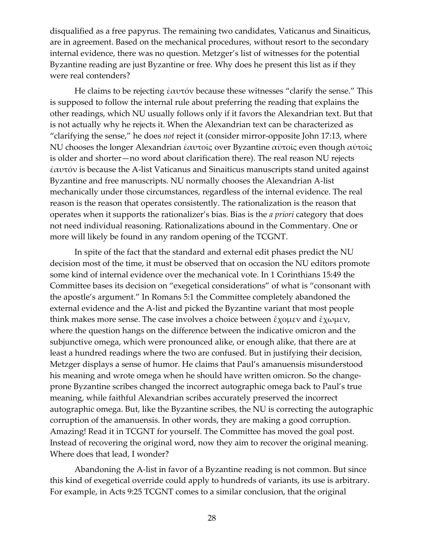disqualified as a free papyrus. The remaining two candidates, Vaticanus and Sinaiticus, are in agreement. Based on the mechanical procedures, without resort to the secondary internal evidence, there was no question. Metzger's list of witnesses for the potential Byzantine reading are just Byzantine or free. Why does he present this list as if they were real contenders?

He claims to be rejecting ἐαυτόν because these witnesses "clarify the sense." This is supposed to follow the internal rule about preferring the reading that explains the other readings, which NU usually follows only if it favors the Alexandrian text. But that is not actually why he rejects it. When the Alexandrian text can be characterized as "clarifying the sense," he does *not* reject it (consider mirror-opposite John 17:13, where NU chooses the longer Alexandrian ἐαυτοῖς over Byzantine αὐτοῖς even though αὐτοῖς is older and shorter—no word about clarification there). The real reason NU rejects ἐαυτόν is because the A-list Vaticanus and Sinaiticus manuscripts stand united against Byzantine and free manuscripts. NU normally chooses the Alexandrian A-list mechanically under those circumstances, regardless of the internal evidence. The real reason is the reason that operates consistently. The rationalization is the reason that operates when it supports the rationalizer's bias. Bias is the *a priori* category that does not need individual reasoning. Rationalizations abound in the Commentary. One or more will likely be found in any random opening of the TCGNT.

In spite of the fact that the standard and external edit phases predict the NU decision most of the time, it must be observed that on occasion the NU editors promote some kind of internal evidence over the mechanical vote. In 1 Corinthians 15:49 the Committee bases its decision on "exegetical considerations" of what is "consonant with the apostle's argument." In Romans 5:1 the Committee completely abandoned the external evidence and the A-list and picked the Byzantine variant that most people think makes more sense. The case involves a choice between  $\zeta$ χομεν and  $\zeta$ χωμεν, where the question hangs on the difference between the indicative omicron and the subjunctive omega, which were pronounced alike, or enough alike, that there are at least a hundred readings where the two are confused. But in justifying their decision, Metzger displays a sense of humor. He claims that Paul's amanuensis misunderstood his meaning and wrote omega when he should have written omicron. So the changeprone Byzantine scribes changed the incorrect autographic omega back to Paul's true meaning, while faithful Alexandrian scribes accurately preserved the incorrect autographic omega. But, like the Byzantine scribes, the NU is correcting the autographic corruption of the amanuensis. In other words, they are making a good corruption. Amazing! Read it in TCGNT for yourself. The Committee has moved the goal post. Instead of recovering the original word, now they aim to recover the original meaning. Where does that lead, I wonder?

Abandoning the A-list in favor of a Byzantine reading is not common. But since this kind of exegetical override could apply to hundreds of variants, its use is arbitrary. For example, in Acts 9:25 TCGNT comes to a similar conclusion, that the original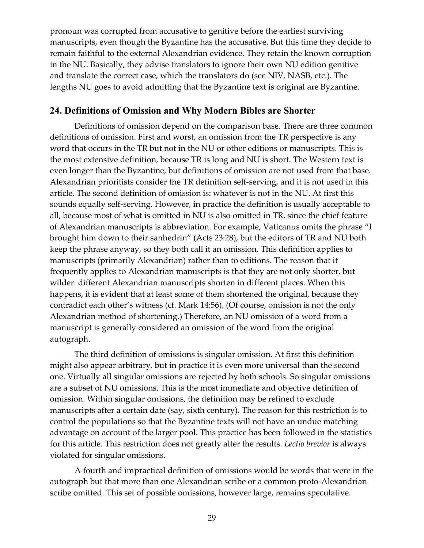pronoun was corrupted from accusative to genitive before the earliest surviving manuscripts, even though the Byzantine has the accusative. But this time they decide to remain faithful to the external Alexandrian evidence. They retain the known corruption in the NU. Basically, they advise translators to ignore their own NU edition genitive and translate the correct case, which the translators do (see NIV, NASB, etc.). The lengths NU goes to avoid admitting that the Byzantine text is original are Byzantine.

#### <span id="page-28-0"></span>**24. Definitions of Omission and Why Modern Bibles are Shorter**

Definitions of omission depend on the comparison base. There are three common definitions of omission. First and worst, an omission from the TR perspective is any word that occurs in the TR but not in the NU or other editions or manuscripts. This is the most extensive definition, because TR is long and NU is short. The Western text is even longer than the Byzantine, but definitions of omission are not used from that base. Alexandrian prioritists consider the TR definition self-serving, and it is not used in this article. The second definition of omission is: whatever is not in the NU. At first this sounds equally self-serving. However, in practice the definition is usually acceptable to all, because most of what is omitted in NU is also omitted in TR, since the chief feature of Alexandrian manuscripts is abbreviation. For example, Vaticanus omits the phrase "I brought him down to their sanhedrin" (Acts 23:28), but the editors of TR and NU both keep the phrase anyway, so they both call it an omission. This definition applies to manuscripts (primarily Alexandrian) rather than to editions. The reason that it frequently applies to Alexandrian manuscripts is that they are not only shorter, but wilder: different Alexandrian manuscripts shorten in different places. When this happens, it is evident that at least some of them shortened the original, because they contradict each other's witness (cf. Mark 14:56). (Of course, omission is not the only Alexandrian method of shortening.) Therefore, an NU omission of a word from a manuscript is generally considered an omission of the word from the original autograph.

The third definition of omissions is singular omission. At first this definition might also appear arbitrary, but in practice it is even more universal than the second one. Virtually all singular omissions are rejected by both schools. So singular omissions are a subset of NU omissions. This is the most immediate and objective definition of omission. Within singular omissions, the definition may be refined to exclude manuscripts after a certain date (say, sixth century). The reason for this restriction is to control the populations so that the Byzantine texts will not have an undue matching advantage on account of the larger pool. This practice has been followed in the statistics for this article. This restriction does not greatly alter the results. *Lectio brevior* is always violated for singular omissions.

A fourth and impractical definition of omissions would be words that were in the autograph but that more than one Alexandrian scribe or a common proto-Alexandrian scribe omitted. This set of possible omissions, however large, remains speculative.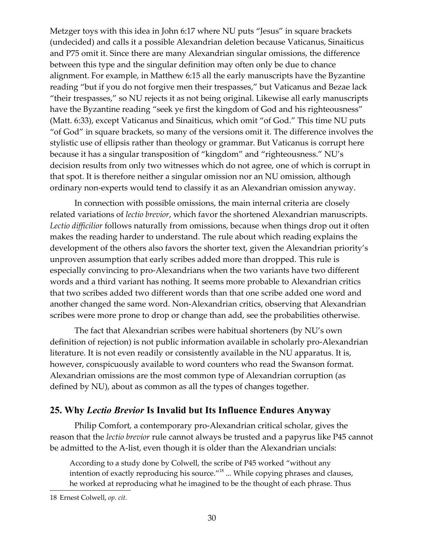Metzger toys with this idea in John 6:17 where NU puts "Jesus" in square brackets (undecided) and calls it a possible Alexandrian deletion because Vaticanus, Sinaiticus and P75 omit it. Since there are many Alexandrian singular omissions, the difference between this type and the singular definition may often only be due to chance alignment. For example, in Matthew 6:15 all the early manuscripts have the Byzantine reading "but if you do not forgive men their trespasses," but Vaticanus and Bezae lack "their trespasses," so NU rejects it as not being original. Likewise all early manuscripts have the Byzantine reading "seek ye first the kingdom of God and his righteousness" (Matt. 6:33), except Vaticanus and Sinaiticus, which omit "of God." This time NU puts "of God" in square brackets, so many of the versions omit it. The difference involves the stylistic use of ellipsis rather than theology or grammar. But Vaticanus is corrupt here because it has a singular transposition of "kingdom" and "righteousness." NU's decision results from only two witnesses which do not agree, one of which is corrupt in that spot. It is therefore neither a singular omission nor an NU omission, although ordinary non-experts would tend to classify it as an Alexandrian omission anyway.

In connection with possible omissions, the main internal criteria are closely related variations of *lectio brevior*, which favor the shortened Alexandrian manuscripts. *Lectio difficilior* follows naturally from omissions, because when things drop out it often makes the reading harder to understand. The rule about which reading explains the development of the others also favors the shorter text, given the Alexandrian priority's unproven assumption that early scribes added more than dropped. This rule is especially convincing to pro-Alexandrians when the two variants have two different words and a third variant has nothing. It seems more probable to Alexandrian critics that two scribes added two different words than that one scribe added one word and another changed the same word. Non-Alexandrian critics, observing that Alexandrian scribes were more prone to drop or change than add, see the probabilities otherwise.

The fact that Alexandrian scribes were habitual shorteners (by NU's own definition of rejection) is not public information available in scholarly pro-Alexandrian literature. It is not even readily or consistently available in the NU apparatus. It is, however, conspicuously available to word counters who read the Swanson format. Alexandrian omissions are the most common type of Alexandrian corruption (as defined by NU), about as common as all the types of changes together.

#### <span id="page-29-0"></span>**25. Why** *Lectio Brevior* **Is Invalid but Its Influence Endures Anyway**

Philip Comfort, a contemporary pro-Alexandrian critical scholar, gives the reason that the *lectio brevior* rule cannot always be trusted and a papyrus like P45 cannot be admitted to the A-list, even though it is older than the Alexandrian uncials:

<span id="page-29-1"></span>According to a study done by Colwell, the scribe of P45 worked "without any intention of exactly reproducing his source."[18](#page-29-1) ... While copying phrases and clauses, he worked at reproducing what he imagined to be the thought of each phrase. Thus

<span id="page-29-2"></span><sup>18</sup> Ernest Colwell, *op. cit.*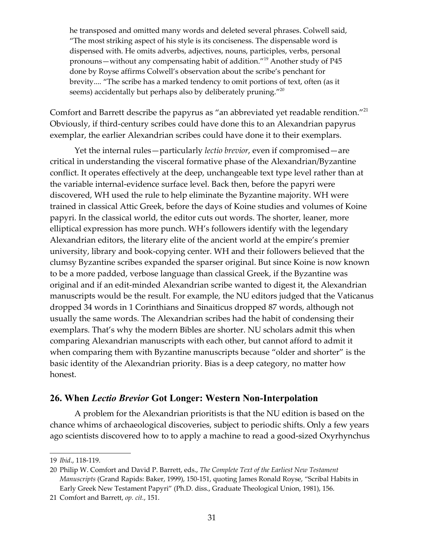<span id="page-30-3"></span><span id="page-30-2"></span><span id="page-30-1"></span>he transposed and omitted many words and deleted several phrases. Colwell said, "The most striking aspect of his style is its conciseness. The dispensable word is dispensed with. He omits adverbs, adjectives, nouns, participles, verbs, personal pronouns—without any compensating habit of addition."[19](#page-30-3) Another study of P45 done by Royse affirms Colwell's observation about the scribe's penchant for brevity.... "The scribe has a marked tendency to omit portions of text, often (as it seems) accidentally but perhaps also by deliberately pruning."<sup>[20](#page-30-2)</sup>

Comfort and Barrett describe the papyrus as "an abbreviated yet readable rendition."<sup>[21](#page-30-1)</sup> Obviously, if third-century scribes could have done this to an Alexandrian papyrus exemplar, the earlier Alexandrian scribes could have done it to their exemplars.

Yet the internal rules—particularly *lectio brevior*, even if compromised—are critical in understanding the visceral formative phase of the Alexandrian/Byzantine conflict. It operates effectively at the deep, unchangeable text type level rather than at the variable internal-evidence surface level. Back then, before the papyri were discovered, WH used the rule to help eliminate the Byzantine majority. WH were trained in classical Attic Greek, before the days of Koine studies and volumes of Koine papyri. In the classical world, the editor cuts out words. The shorter, leaner, more elliptical expression has more punch. WH's followers identify with the legendary Alexandrian editors, the literary elite of the ancient world at the empire's premier university, library and book-copying center. WH and their followers believed that the clumsy Byzantine scribes expanded the sparser original. But since Koine is now known to be a more padded, verbose language than classical Greek, if the Byzantine was original and if an edit-minded Alexandrian scribe wanted to digest it, the Alexandrian manuscripts would be the result. For example, the NU editors judged that the Vaticanus dropped 34 words in 1 Corinthians and Sinaiticus dropped 87 words, although not usually the same words. The Alexandrian scribes had the habit of condensing their exemplars. That's why the modern Bibles are shorter. NU scholars admit this when comparing Alexandrian manuscripts with each other, but cannot afford to admit it when comparing them with Byzantine manuscripts because "older and shorter" is the basic identity of the Alexandrian priority. Bias is a deep category, no matter how honest.

#### <span id="page-30-0"></span>**26. When** *Lectio Brevior* **Got Longer: Western Non-Interpolation**

A problem for the Alexandrian prioritists is that the NU edition is based on the chance whims of archaeological discoveries, subject to periodic shifts. Only a few years ago scientists discovered how to to apply a machine to read a good-sized Oxyrhynchus

<span id="page-30-4"></span><sup>19</sup> *Ibid*., 118-119.

<span id="page-30-5"></span><sup>20</sup> Philip W. Comfort and David P. Barrett, eds., *The Complete Text of the Earliest New Testament Manuscripts* (Grand Rapids: Baker, 1999), 150-151, quoting James Ronald Royse, "Scribal Habits in Early Greek New Testament Papyri" (Ph.D. diss., Graduate Theological Union, 1981), 156.

<span id="page-30-6"></span><sup>21</sup> Comfort and Barrett, *op. cit.*, 151.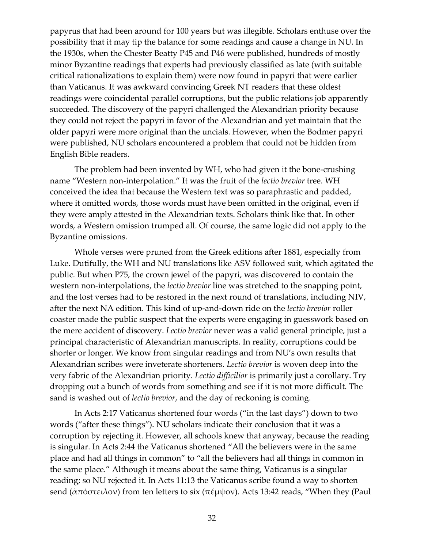papyrus that had been around for 100 years but was illegible. Scholars enthuse over the possibility that it may tip the balance for some readings and cause a change in NU. In the 1930s, when the Chester Beatty P45 and P46 were published, hundreds of mostly minor Byzantine readings that experts had previously classified as late (with suitable critical rationalizations to explain them) were now found in papyri that were earlier than Vaticanus. It was awkward convincing Greek NT readers that these oldest readings were coincidental parallel corruptions, but the public relations job apparently succeeded. The discovery of the papyri challenged the Alexandrian priority because they could not reject the papyri in favor of the Alexandrian and yet maintain that the older papyri were more original than the uncials. However, when the Bodmer papyri were published, NU scholars encountered a problem that could not be hidden from English Bible readers.

The problem had been invented by WH, who had given it the bone-crushing name "Western non-interpolation." It was the fruit of the *lectio brevior* tree. WH conceived the idea that because the Western text was so paraphrastic and padded, where it omitted words, those words must have been omitted in the original, even if they were amply attested in the Alexandrian texts. Scholars think like that. In other words, a Western omission trumped all. Of course, the same logic did not apply to the Byzantine omissions.

Whole verses were pruned from the Greek editions after 1881, especially from Luke. Dutifully, the WH and NU translations like ASV followed suit, which agitated the public. But when P75, the crown jewel of the papyri, was discovered to contain the western non-interpolations, the *lectio brevior* line was stretched to the snapping point, and the lost verses had to be restored in the next round of translations, including NIV, after the next NA edition. This kind of up-and-down ride on the *lectio brevior* roller coaster made the public suspect that the experts were engaging in guesswork based on the mere accident of discovery. *Lectio brevior* never was a valid general principle, just a principal characteristic of Alexandrian manuscripts. In reality, corruptions could be shorter or longer. We know from singular readings and from NU's own results that Alexandrian scribes were inveterate shorteners. *Lectio brevior* is woven deep into the very fabric of the Alexandrian priority. *Lectio difficilior* is primarily just a corollary. Try dropping out a bunch of words from something and see if it is not more difficult. The sand is washed out of *lectio brevior*, and the day of reckoning is coming.

In Acts 2:17 Vaticanus shortened four words ("in the last days") down to two words ("after these things"). NU scholars indicate their conclusion that it was a corruption by rejecting it. However, all schools knew that anyway, because the reading is singular. In Acts 2:44 the Vaticanus shortened "All the believers were in the same place and had all things in common" to "all the believers had all things in common in the same place." Although it means about the same thing, Vaticanus is a singular reading; so NU rejected it. In Acts 11:13 the Vaticanus scribe found a way to shorten send (ἀπόστειλον) from ten letters to six (πέμψον). Acts 13:42 reads, "When they (Paul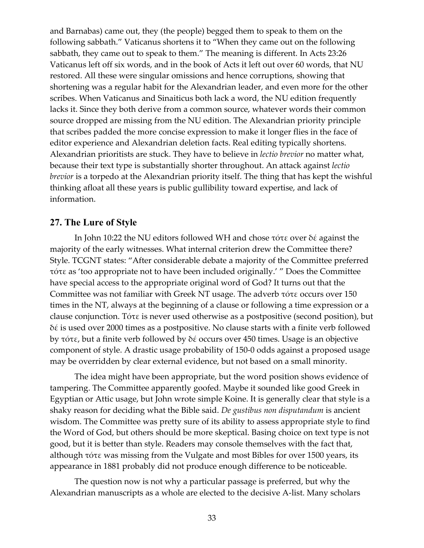and Barnabas) came out, they (the people) begged them to speak to them on the following sabbath." Vaticanus shortens it to "When they came out on the following sabbath, they came out to speak to them." The meaning is different. In Acts 23:26 Vaticanus left off six words, and in the book of Acts it left out over 60 words, that NU restored. All these were singular omissions and hence corruptions, showing that shortening was a regular habit for the Alexandrian leader, and even more for the other scribes. When Vaticanus and Sinaiticus both lack a word, the NU edition frequently lacks it. Since they both derive from a common source, whatever words their common source dropped are missing from the NU edition. The Alexandrian priority principle that scribes padded the more concise expression to make it longer flies in the face of editor experience and Alexandrian deletion facts. Real editing typically shortens. Alexandrian prioritists are stuck. They have to believe in *lectio brevior* no matter what, because their text type is substantially shorter throughout. An attack against *lectio brevior* is a torpedo at the Alexandrian priority itself. The thing that has kept the wishful thinking afloat all these years is public gullibility toward expertise, and lack of information.

#### <span id="page-32-0"></span>**27. The Lure of Style**

In John 10:22 the NU editors followed WH and chose τότε over δέ against the majority of the early witnesses. What internal criterion drew the Committee there? Style. TCGNT states: "After considerable debate a majority of the Committee preferred τότε as 'too appropriate not to have been included originally.' " Does the Committee have special access to the appropriate original word of God? It turns out that the Committee was not familiar with Greek NT usage. The adverb τότε occurs over 150 times in the NT, always at the beginning of a clause or following a time expression or a clause conjunction. Τότε is never used otherwise as a postpositive (second position), but δέ is used over 2000 times as a postpositive. No clause starts with a finite verb followed by τότε, but a finite verb followed by δέ occurs over 450 times. Usage is an objective component of style. A drastic usage probability of 150-0 odds against a proposed usage may be overridden by clear external evidence, but not based on a small minority.

The idea might have been appropriate, but the word position shows evidence of tampering. The Committee apparently goofed. Maybe it sounded like good Greek in Egyptian or Attic usage, but John wrote simple Koine. It is generally clear that style is a shaky reason for deciding what the Bible said. *De gustibus non disputandum* is ancient wisdom. The Committee was pretty sure of its ability to assess appropriate style to find the Word of God, but others should be more skeptical. Basing choice on text type is not good, but it is better than style. Readers may console themselves with the fact that, although τότε was missing from the Vulgate and most Bibles for over 1500 years, its appearance in 1881 probably did not produce enough difference to be noticeable.

The question now is not why a particular passage is preferred, but why the Alexandrian manuscripts as a whole are elected to the decisive A-list. Many scholars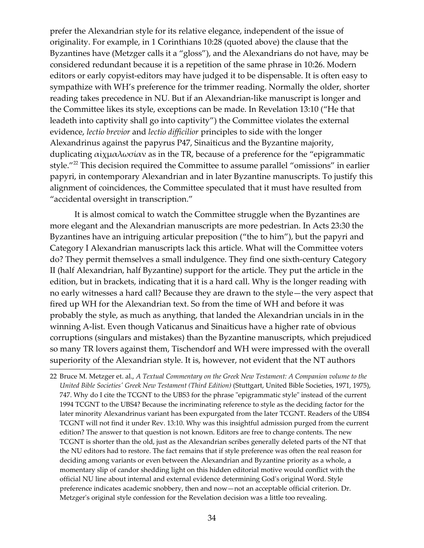prefer the Alexandrian style for its relative elegance, independent of the issue of originality. For example, in 1 Corinthians 10:28 (quoted above) the clause that the Byzantines have (Metzger calls it a "gloss"), and the Alexandrians do not have, may be considered redundant because it is a repetition of the same phrase in 10:26. Modern editors or early copyist-editors may have judged it to be dispensable. It is often easy to sympathize with WH's preference for the trimmer reading. Normally the older, shorter reading takes precedence in NU. But if an Alexandrian-like manuscript is longer and the Committee likes its style, exceptions can be made. In Revelation 13:10 ("He that leadeth into captivity shall go into captivity") the Committee violates the external evidence, *lectio brevior* and *lectio difficilior* principles to side with the longer Alexandrinus against the papyrus P47, Sinaiticus and the Byzantine majority, duplicating αἰχμαλωσίαν as in the TR, because of a preference for the "epigrammatic style."<sup>[22](#page-33-0)</sup> This decision required the Committee to assume parallel "omissions" in earlier papyri, in contemporary Alexandrian and in later Byzantine manuscripts. To justify this alignment of coincidences, the Committee speculated that it must have resulted from "accidental oversight in transcription."

It is almost comical to watch the Committee struggle when the Byzantines are more elegant and the Alexandrian manuscripts are more pedestrian. In Acts 23:30 the Byzantines have an intriguing articular preposition ("the to him"), but the papyri and Category I Alexandrian manuscripts lack this article. What will the Committee voters do? They permit themselves a small indulgence. They find one sixth-century Category II (half Alexandrian, half Byzantine) support for the article. They put the article in the edition, but in brackets, indicating that it is a hard call. Why is the longer reading with no early witnesses a hard call? Because they are drawn to the style—the very aspect that fired up WH for the Alexandrian text. So from the time of WH and before it was probably the style, as much as anything, that landed the Alexandrian uncials in in the winning A-list. Even though Vaticanus and Sinaiticus have a higher rate of obvious corruptions (singulars and mistakes) than the Byzantine manuscripts, which prejudiced so many TR lovers against them, Tischendorf and WH were impressed with the overall superiority of the Alexandrian style. It is, however, not evident that the NT authors

<span id="page-33-0"></span><sup>22</sup> Bruce M. Metzger et. al., *A Textual Commentary on the Greek New Testament: A Companion volume to the United Bible Societies' Greek New Testament (Third Edition)* (Stuttgart, United Bible Societies, 1971, 1975), 747. Why do I cite the TCGNT to the UBS3 for the phrase "epigrammatic style" instead of the current 1994 TCGNT to the UBS4? Because the incriminating reference to style as the deciding factor for the later minority Alexandrinus variant has been expurgated from the later TCGNT. Readers of the UBS4 TCGNT will not find it under Rev. 13:10. Why was this insightful admission purged from the current edition? The answer to that question is not known. Editors are free to change contents. The new TCGNT is shorter than the old, just as the Alexandrian scribes generally deleted parts of the NT that the NU editors had to restore. The fact remains that if style preference was often the real reason for deciding among variants or even between the Alexandrian and Byzantine priority as a whole, a momentary slip of candor shedding light on this hidden editorial motive would conflict with the official NU line about internal and external evidence determining God's original Word. Style preference indicates academic snobbery, then and now—not an acceptable official criterion. Dr. Metzger's original style confession for the Revelation decision was a little too revealing.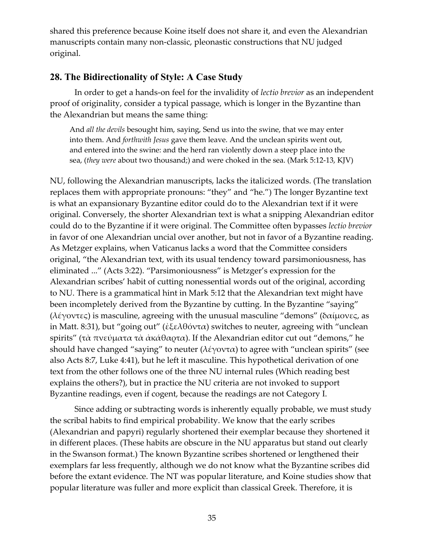shared this preference because Koine itself does not share it, and even the Alexandrian manuscripts contain many non-classic, pleonastic constructions that NU judged original.

# <span id="page-34-0"></span>**28. The Bidirectionality of Style: A Case Study**

In order to get a hands-on feel for the invalidity of *lectio brevior* as an independent proof of originality, consider a typical passage, which is longer in the Byzantine than the Alexandrian but means the same thing:

And *all the devils* besought him, saying, Send us into the swine, that we may enter into them. And *forthwith Jesus* gave them leave. And the unclean spirits went out, and entered into the swine: and the herd ran violently down a steep place into the sea, (*they were* about two thousand;) and were choked in the sea. (Mark 5:12-13, KJV)

NU, following the Alexandrian manuscripts, lacks the italicized words. (The translation replaces them with appropriate pronouns: "they" and "he.") The longer Byzantine text is what an expansionary Byzantine editor could do to the Alexandrian text if it were original. Conversely, the shorter Alexandrian text is what a snipping Alexandrian editor could do to the Byzantine if it were original. The Committee often bypasses *lectio brevior* in favor of one Alexandrian uncial over another, but not in favor of a Byzantine reading. As Metzger explains, when Vaticanus lacks a word that the Committee considers original, "the Alexandrian text, with its usual tendency toward parsimoniousness, has eliminated ..." (Acts 3:22). "Parsimoniousness" is Metzger's expression for the Alexandrian scribes' habit of cutting nonessential words out of the original, according to NU. There is a grammatical hint in Mark 5:12 that the Alexandrian text might have been incompletely derived from the Byzantine by cutting. In the Byzantine "saying" (λέγοντες) is masculine, agreeing with the unusual masculine "demons" (δαίμονες, as in Matt. 8:31), but "going out" (ἐξελθόντα) switches to neuter, agreeing with "unclean spirits" (τὰ πνεύματα τὰ ἀκάθαρτα). If the Alexandrian editor cut out "demons," he should have changed "saying" to neuter ( $\lambda \epsilon \gamma$ οντα) to agree with "unclean spirits" (see also Acts 8:7, Luke 4:41), but he left it masculine. This hypothetical derivation of one text from the other follows one of the three NU internal rules (Which reading best explains the others?), but in practice the NU criteria are not invoked to support Byzantine readings, even if cogent, because the readings are not Category I.

Since adding or subtracting words is inherently equally probable, we must study the scribal habits to find empirical probability. We know that the early scribes (Alexandrian and papyri) regularly shortened their exemplar because they shortened it in different places. (These habits are obscure in the NU apparatus but stand out clearly in the Swanson format.) The known Byzantine scribes shortened or lengthened their exemplars far less frequently, although we do not know what the Byzantine scribes did before the extant evidence. The NT was popular literature, and Koine studies show that popular literature was fuller and more explicit than classical Greek. Therefore, it is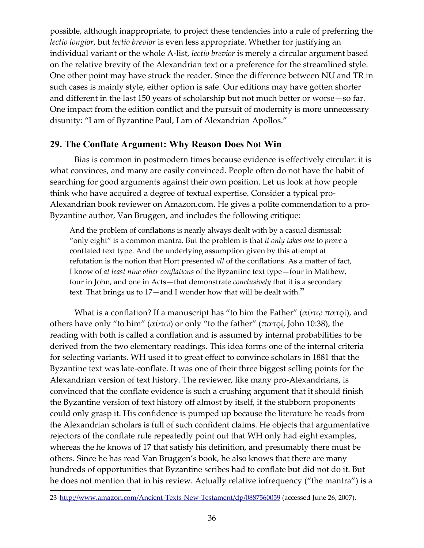possible, although inappropriate, to project these tendencies into a rule of preferring the *lectio longior*, but *lectio brevior* is even less appropriate. Whether for justifying an individual variant or the whole A-list, *lectio brevior* is merely a circular argument based on the relative brevity of the Alexandrian text or a preference for the streamlined style. One other point may have struck the reader. Since the difference between NU and TR in such cases is mainly style, either option is safe. Our editions may have gotten shorter and different in the last 150 years of scholarship but not much better or worse—so far. One impact from the edition conflict and the pursuit of modernity is more unnecessary disunity: "I am of Byzantine Paul, I am of Alexandrian Apollos."

# <span id="page-35-0"></span>**29. The Conflate Argument: Why Reason Does Not Win**

Bias is common in postmodern times because evidence is effectively circular: it is what convinces, and many are easily convinced. People often do not have the habit of searching for good arguments against their own position. Let us look at how people think who have acquired a degree of textual expertise. Consider a typical pro-Alexandrian book reviewer on Amazon.com. He gives a polite commendation to a pro-Byzantine author, Van Bruggen, and includes the following critique:

<span id="page-35-1"></span>And the problem of conflations is nearly always dealt with by a casual dismissal: "only eight" is a common mantra. But the problem is that *it only takes one* to *prove* a conflated text type. And the underlying assumption given by this attempt at refutation is the notion that Hort presented *all* of the conflations. As a matter of fact, I know of *at least nine other conflations* of the Byzantine text type—four in Matthew, four in John, and one in Acts—that demonstrate *conclusively* that it is a secondary text. That brings us to  $17$ —and I wonder how that will be dealt with.<sup>[23](#page-35-1)</sup>

What is a conflation? If a manuscript has "to him the Father" (αὐτῷ πατρί), and others have only "to him" (αὐτῷ) or only "to the father" (πατρί, John 10:38), the reading with both is called a conflation and is assumed by internal probabilities to be derived from the two elementary readings. This idea forms one of the internal criteria for selecting variants. WH used it to great effect to convince scholars in 1881 that the Byzantine text was late-conflate. It was one of their three biggest selling points for the Alexandrian version of text history. The reviewer, like many pro-Alexandrians, is convinced that the conflate evidence is such a crushing argument that it should finish the Byzantine version of text history off almost by itself, if the stubborn proponents could only grasp it. His confidence is pumped up because the literature he reads from the Alexandrian scholars is full of such confident claims. He objects that argumentative rejectors of the conflate rule repeatedly point out that WH only had eight examples, whereas the he knows of 17 that satisfy his definition, and presumably there must be others. Since he has read Van Bruggen's book, he also knows that there are many hundreds of opportunities that Byzantine scribes had to conflate but did not do it. But he does not mention that in his review. Actually relative infrequency ("the mantra") is a

<span id="page-35-2"></span><sup>23</sup> <http://www.amazon.com/Ancient-Texts-New-Testament/dp/0887560059>(accessed June 26, 2007).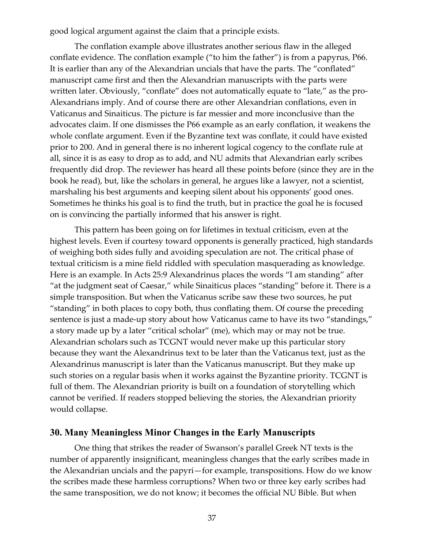good logical argument against the claim that a principle exists.

The conflation example above illustrates another serious flaw in the alleged conflate evidence. The conflation example ("to him the father") is from a papyrus, P66. It is earlier than any of the Alexandrian uncials that have the parts. The "conflated" manuscript came first and then the Alexandrian manuscripts with the parts were written later. Obviously, "conflate" does not automatically equate to "late," as the pro-Alexandrians imply. And of course there are other Alexandrian conflations, even in Vaticanus and Sinaiticus. The picture is far messier and more inconclusive than the advocates claim. If one dismisses the P66 example as an early conflation, it weakens the whole conflate argument. Even if the Byzantine text was conflate, it could have existed prior to 200. And in general there is no inherent logical cogency to the conflate rule at all, since it is as easy to drop as to add, and NU admits that Alexandrian early scribes frequently did drop. The reviewer has heard all these points before (since they are in the book he read), but, like the scholars in general, he argues like a lawyer, not a scientist, marshaling his best arguments and keeping silent about his opponents' good ones. Sometimes he thinks his goal is to find the truth, but in practice the goal he is focused on is convincing the partially informed that his answer is right.

This pattern has been going on for lifetimes in textual criticism, even at the highest levels. Even if courtesy toward opponents is generally practiced, high standards of weighing both sides fully and avoiding speculation are not. The critical phase of textual criticism is a mine field riddled with speculation masquerading as knowledge. Here is an example. In Acts 25:9 Alexandrinus places the words "I am standing" after "at the judgment seat of Caesar," while Sinaiticus places "standing" before it. There is a simple transposition. But when the Vaticanus scribe saw these two sources, he put "standing" in both places to copy both, thus conflating them. Of course the preceding sentence is just a made-up story about how Vaticanus came to have its two "standings," a story made up by a later "critical scholar" (me), which may or may not be true. Alexandrian scholars such as TCGNT would never make up this particular story because they want the Alexandrinus text to be later than the Vaticanus text, just as the Alexandrinus manuscript is later than the Vaticanus manuscript. But they make up such stories on a regular basis when it works against the Byzantine priority. TCGNT is full of them. The Alexandrian priority is built on a foundation of storytelling which cannot be verified. If readers stopped believing the stories, the Alexandrian priority would collapse.

#### <span id="page-36-0"></span>**30. Many Meaningless Minor Changes in the Early Manuscripts**

One thing that strikes the reader of Swanson's parallel Greek NT texts is the number of apparently insignificant, meaningless changes that the early scribes made in the Alexandrian uncials and the papyri—for example, transpositions. How do we know the scribes made these harmless corruptions? When two or three key early scribes had the same transposition, we do not know; it becomes the official NU Bible. But when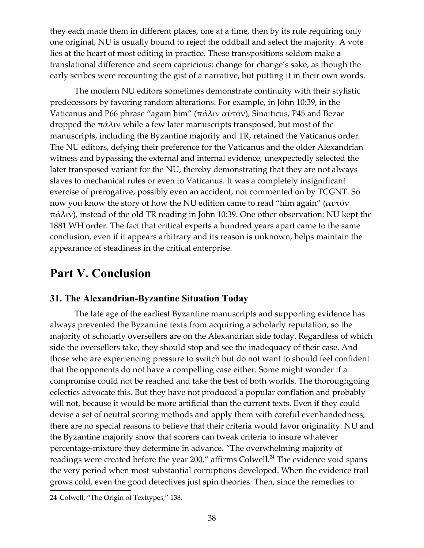they each made them in different places, one at a time, then by its rule requiring only one original, NU is usually bound to reject the oddball and select the majority. A vote lies at the heart of most editing in practice. These transpositions seldom make a translational difference and seem capricious: change for change's sake, as though the early scribes were recounting the gist of a narrative, but putting it in their own words.

The modern NU editors sometimes demonstrate continuity with their stylistic predecessors by favoring random alterations. For example, in John 10:39, in the Vaticanus and P66 phrase "again him" (πάλιν αὐτόν), Sinaiticus, P45 and Bezae dropped the πάλιν while a few later manuscripts transposed, but most of the manuscripts, including the Byzantine majority and TR, retained the Vaticanus order. The NU editors, defying their preference for the Vaticanus and the older Alexandrian witness and bypassing the external and internal evidence, unexpectedly selected the later transposed variant for the NU, thereby demonstrating that they are not always slaves to mechanical rules or even to Vaticanus. It was a completely insignificant exercise of prerogative, possibly even an accident, not commented on by TCGNT. So now you know the story of how the NU edition came to read "him again" (αὐτόν  $παλιν$ ), instead of the old TR reading in John 10:39. One other observation: NU kept the 1881 WH order. The fact that critical experts a hundred years apart came to the same conclusion, even if it appears arbitrary and its reason is unknown, helps maintain the appearance of steadiness in the critical enterprise.

# <span id="page-37-1"></span>**Part V. Conclusion**

# <span id="page-37-0"></span>**31. The Alexandrian-Byzantine Situation Today**

The late age of the earliest Byzantine manuscripts and supporting evidence has always prevented the Byzantine texts from acquiring a scholarly reputation, so the majority of scholarly oversellers are on the Alexandrian side today. Regardless of which side the oversellers take, they should stop and see the inadequacy of their case. And those who are experiencing pressure to switch but do not want to should feel confident that the opponents do not have a compelling case either. Some might wonder if a compromise could not be reached and take the best of both worlds. The thoroughgoing eclectics advocate this. But they have not produced a popular conflation and probably will not, because it would be more artificial than the current texts. Even if they could devise a set of neutral scoring methods and apply them with careful evenhandedness, there are no special reasons to believe that their criteria would favor originality. NU and the Byzantine majority show that scorers can tweak criteria to insure whatever percentage-mixture they determine in advance. "The overwhelming majority of readings were created before the year 200," affirms Colwell.<sup>[24](#page-37-2)</sup> The evidence void spans the very period when most substantial corruptions developed. When the evidence trail grows cold, even the good detectives just spin theories. Then, since the remedies to

<span id="page-37-3"></span><span id="page-37-2"></span><sup>24</sup> Colwell, "The Origin of Texttypes," 138.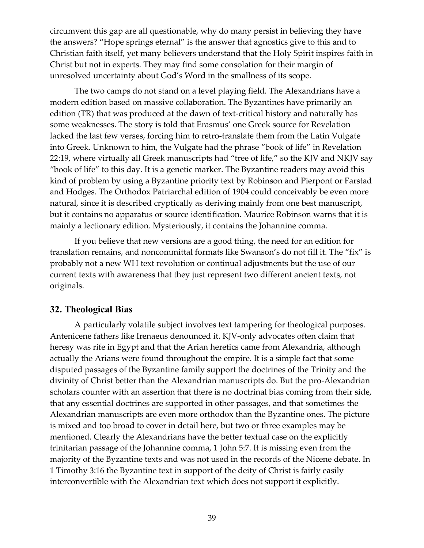circumvent this gap are all questionable, why do many persist in believing they have the answers? "Hope springs eternal" is the answer that agnostics give to this and to Christian faith itself, yet many believers understand that the Holy Spirit inspires faith in Christ but not in experts. They may find some consolation for their margin of unresolved uncertainty about God's Word in the smallness of its scope.

The two camps do not stand on a level playing field. The Alexandrians have a modern edition based on massive collaboration. The Byzantines have primarily an edition (TR) that was produced at the dawn of text-critical history and naturally has some weaknesses. The story is told that Erasmus' one Greek source for Revelation lacked the last few verses, forcing him to retro-translate them from the Latin Vulgate into Greek. Unknown to him, the Vulgate had the phrase "book of life" in Revelation 22:19, where virtually all Greek manuscripts had "tree of life," so the KJV and NKJV say "book of life" to this day. It is a genetic marker. The Byzantine readers may avoid this kind of problem by using a Byzantine priority text by Robinson and Pierpont or Farstad and Hodges. The Orthodox Patriarchal edition of 1904 could conceivably be even more natural, since it is described cryptically as deriving mainly from one best manuscript, but it contains no apparatus or source identification. Maurice Robinson warns that it is mainly a lectionary edition. Mysteriously, it contains the Johannine comma.

If you believe that new versions are a good thing, the need for an edition for translation remains, and noncommittal formats like Swanson's do not fill it. The "fix" is probably not a new WH text revolution or continual adjustments but the use of our current texts with awareness that they just represent two different ancient texts, not originals.

# <span id="page-38-0"></span>**32. Theological Bias**

A particularly volatile subject involves text tampering for theological purposes. Antenicene fathers like Irenaeus denounced it. KJV-only advocates often claim that heresy was rife in Egypt and that the Arian heretics came from Alexandria, although actually the Arians were found throughout the empire. It is a simple fact that some disputed passages of the Byzantine family support the doctrines of the Trinity and the divinity of Christ better than the Alexandrian manuscripts do. But the pro-Alexandrian scholars counter with an assertion that there is no doctrinal bias coming from their side, that any essential doctrines are supported in other passages, and that sometimes the Alexandrian manuscripts are even more orthodox than the Byzantine ones. The picture is mixed and too broad to cover in detail here, but two or three examples may be mentioned. Clearly the Alexandrians have the better textual case on the explicitly trinitarian passage of the Johannine comma, 1 John 5:7. It is missing even from the majority of the Byzantine texts and was not used in the records of the Nicene debate. In 1 Timothy 3:16 the Byzantine text in support of the deity of Christ is fairly easily interconvertible with the Alexandrian text which does not support it explicitly.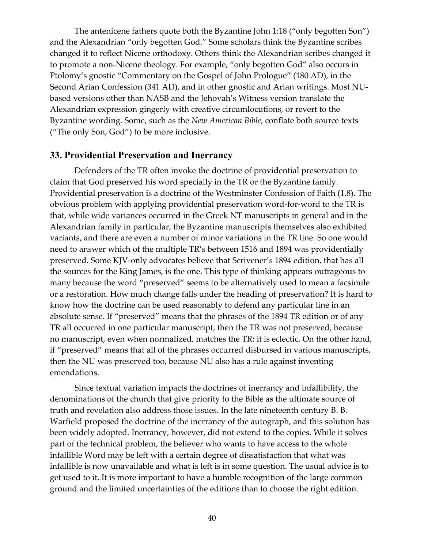The antenicene fathers quote both the Byzantine John 1:18 ("only begotten Son") and the Alexandrian "only begotten God." Some scholars think the Byzantine scribes changed it to reflect Nicene orthodoxy. Others think the Alexandrian scribes changed it to promote a non-Nicene theology. For example, "only begotten God" also occurs in Ptolomy's gnostic "Commentary on the Gospel of John Prologue" (180 AD), in the Second Arian Confession (341 AD), and in other gnostic and Arian writings. Most NUbased versions other than NASB and the Jehovah's Witness version translate the Alexandrian expression gingerly with creative circumlocutions, or revert to the Byzantine wording. Some, such as the *New American Bible*, conflate both source texts ("The only Son, God") to be more inclusive.

#### <span id="page-39-0"></span>**33. Providential Preservation and Inerrancy**

Defenders of the TR often invoke the doctrine of providential preservation to claim that God preserved his word specially in the TR or the Byzantine family. Providential preservation is a doctrine of the Westminster Confession of Faith (1.8). The obvious problem with applying providential preservation word-for-word to the TR is that, while wide variances occurred in the Greek NT manuscripts in general and in the Alexandrian family in particular, the Byzantine manuscripts themselves also exhibited variants, and there are even a number of minor variations in the TR line. So one would need to answer which of the multiple TR's between 1516 and 1894 was providentially preserved. Some KJV-only advocates believe that Scrivener's 1894 edition, that has all the sources for the King James, is the one. This type of thinking appears outrageous to many because the word "preserved" seems to be alternatively used to mean a facsimile or a restoration. How much change falls under the heading of preservation? It is hard to know how the doctrine can be used reasonably to defend any particular line in an absolute sense. If "preserved" means that the phrases of the 1894 TR edition or of any TR all occurred in one particular manuscript, then the TR was not preserved, because no manuscript, even when normalized, matches the TR: it is eclectic. On the other hand, if "preserved" means that all of the phrases occurred disbursed in various manuscripts, then the NU was preserved too, because NU also has a rule against inventing emendations.

Since textual variation impacts the doctrines of inerrancy and infallibility, the denominations of the church that give priority to the Bible as the ultimate source of truth and revelation also address those issues. In the late nineteenth century B. B. Warfield proposed the doctrine of the inerrancy of the autograph, and this solution has been widely adopted. Inerrancy, however, did not extend to the copies. While it solves part of the technical problem, the believer who wants to have access to the whole infallible Word may be left with a certain degree of dissatisfaction that what was infallible is now unavailable and what is left is in some question. The usual advice is to get used to it. It is more important to have a humble recognition of the large common ground and the limited uncertainties of the editions than to choose the right edition.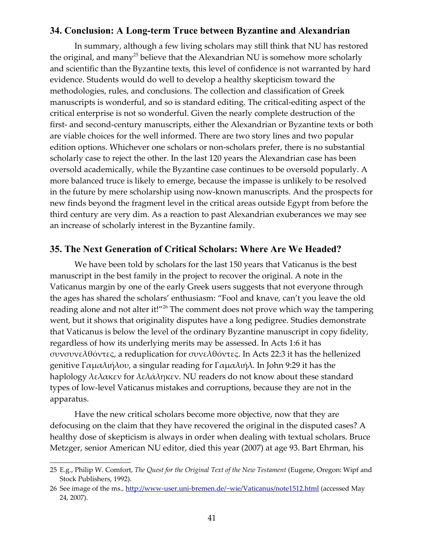#### <span id="page-40-1"></span>**34. Conclusion: A Long-term Truce between Byzantine and Alexandrian**

<span id="page-40-3"></span>In summary, although a few living scholars may still think that NU has restored the original, and many<sup>[25](#page-40-3)</sup> believe that the Alexandrian NU is somehow more scholarly and scientific than the Byzantine texts, this level of confidence is not warranted by hard evidence. Students would do well to develop a healthy skepticism toward the methodologies, rules, and conclusions. The collection and classification of Greek manuscripts is wonderful, and so is standard editing. The critical-editing aspect of the critical enterprise is not so wonderful. Given the nearly complete destruction of the first- and second-century manuscripts, either the Alexandrian or Byzantine texts or both are viable choices for the well informed. There are two story lines and two popular edition options. Whichever one scholars or non-scholars prefer, there is no substantial scholarly case to reject the other. In the last 120 years the Alexandrian case has been oversold academically, while the Byzantine case continues to be oversold popularly. A more balanced truce is likely to emerge, because the impasse is unlikely to be resolved in the future by mere scholarship using now-known manuscripts. And the prospects for new finds beyond the fragment level in the critical areas outside Egypt from before the third century are very dim. As a reaction to past Alexandrian exuberances we may see an increase of scholarly interest in the Byzantine family.

#### <span id="page-40-0"></span>**35. The Next Generation of Critical Scholars: Where Are We Headed?**

<span id="page-40-2"></span>We have been told by scholars for the last 150 years that Vaticanus is the best manuscript in the best family in the project to recover the original. A note in the Vaticanus margin by one of the early Greek users suggests that not everyone through the ages has shared the scholars' enthusiasm: "Fool and knave, can't you leave the old reading alone and not alter it!"<sup>[26](#page-40-2)</sup> The comment does not prove which way the tampering went, but it shows that originality disputes have a long pedigree. Studies demonstrate that Vaticanus is below the level of the ordinary Byzantine manuscript in copy fidelity, regardless of how its underlying merits may be assessed. In Acts 1:6 it has συνσυνελθόντες, a reduplication for συνελθόντες. In Acts 22:3 it has the hellenized genitive Γαμαλιήλου, a singular reading for Γαμαλιήλ. In John 9:29 it has the haplology λελακεν for λελάληκεν. NU readers do not know about these standard types of low-level Vaticanus mistakes and corruptions, because they are not in the apparatus.

Have the new critical scholars become more objective, now that they are defocusing on the claim that they have recovered the original in the disputed cases? A healthy dose of skepticism is always in order when dealing with textual scholars. Bruce Metzger, senior American NU editor, died this year (2007) at age 93. Bart Ehrman, his

<span id="page-40-4"></span><sup>25</sup> E.g., Philip W. Comfort, *The Quest for the Original Text of the New Testament* (Eugene, Oregon: Wipf and Stock Publishers, 1992).

<span id="page-40-5"></span><sup>26</sup> See image of the ms.,<http://www-user.uni-bremen.de/~wie/Vaticanus/note1512.html>(accessed May 24, 2007).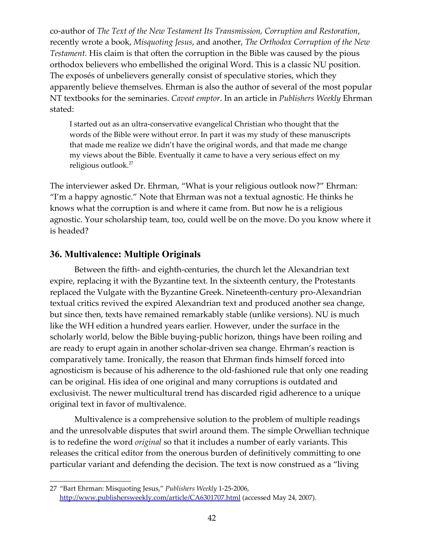co-author of *The Text of the New Testament Its Transmission, Corruption and Restoration*, recently wrote a book, *Misquoting Jesus*, and another, *The Orthodox Corruption of the New Testament.* His claim is that often the corruption in the Bible was caused by the pious orthodox believers who embellished the original Word. This is a classic NU position. The exposés of unbelievers generally consist of speculative stories, which they apparently believe themselves. Ehrman is also the author of several of the most popular NT textbooks for the seminaries. *Caveat emptor*. In an article in *Publishers Weekly* Ehrman stated:

<span id="page-41-1"></span>I started out as an ultra-conservative evangelical Christian who thought that the words of the Bible were without error. In part it was my study of these manuscripts that made me realize we didn't have the original words, and that made me change my views about the Bible. Eventually it came to have a very serious effect on my religious outlook.<sup>[27](#page-41-1)</sup>

The interviewer asked Dr. Ehrman, "What is your religious outlook now?" Ehrman: "I'm a happy agnostic." Note that Ehrman was not a textual agnostic. He thinks he knows what the corruption is and where it came from. But now he is a religious agnostic. Your scholarship team, too, could well be on the move. Do you know where it is headed?

# <span id="page-41-0"></span>**36. Multivalence: Multiple Originals**

Between the fifth- and eighth-centuries, the church let the Alexandrian text expire, replacing it with the Byzantine text. In the sixteenth century, the Protestants replaced the Vulgate with the Byzantine Greek. Nineteenth-century pro-Alexandrian textual critics revived the expired Alexandrian text and produced another sea change, but since then, texts have remained remarkably stable (unlike versions). NU is much like the WH edition a hundred years earlier. However, under the surface in the scholarly world, below the Bible buying-public horizon, things have been roiling and are ready to erupt again in another scholar-driven sea change. Ehrman's reaction is comparatively tame. Ironically, the reason that Ehrman finds himself forced into agnosticism is because of his adherence to the old-fashioned rule that only one reading can be original. His idea of one original and many corruptions is outdated and exclusivist. The newer multicultural trend has discarded rigid adherence to a unique original text in favor of multivalence.

Multivalence is a comprehensive solution to the problem of multiple readings and the unresolvable disputes that swirl around them. The simple Orwellian technique is to redefine the word *original* so that it includes a number of early variants. This releases the critical editor from the onerous burden of definitively committing to one particular variant and defending the decision. The text is now construed as a "living

<span id="page-41-2"></span><sup>27</sup> "Bart Ehrman: Misquoting Jesus," *Publishers Weekly* 1-25-2006, <http://www.publishersweekly.com/article/CA6301707.html>(accessed May 24, 2007).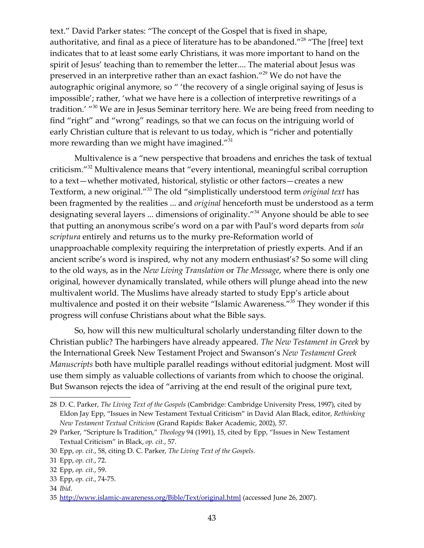<span id="page-42-7"></span><span id="page-42-6"></span>text." David Parker states: "The concept of the Gospel that is fixed in shape, authoritative, and final as a piece of literature has to be abandoned."<sup>[28](#page-42-7)</sup> "The [free] text indicates that to at least some early Christians, it was more important to hand on the spirit of Jesus' teaching than to remember the letter.... The material about Jesus was preserved in an interpretive rather than an exact fashion."[29](#page-42-6) We do not have the autographic original anymore, so " 'the recovery of a single original saying of Jesus is impossible'; rather, 'what we have here is a collection of interpretive rewritings of a tradition.' "<sup>[30](#page-42-5)</sup> We are in Jesus Seminar territory here. We are being freed from needing to find "right" and "wrong" readings, so that we can focus on the intriguing world of early Christian culture that is relevant to us today, which is "richer and potentially more rewarding than we might have imagined."<sup>[31](#page-42-4)</sup>

<span id="page-42-5"></span><span id="page-42-4"></span><span id="page-42-3"></span><span id="page-42-2"></span><span id="page-42-1"></span>Multivalence is a "new perspective that broadens and enriches the task of textual criticism."[32](#page-42-3) Multivalence means that "every intentional, meaningful scribal corruption to a text—whether motivated, historical, stylistic or other factors—creates a new Textform, a new original."[33](#page-42-2) The old "simplistically understood term *original text* has been fragmented by the realities ... and *original* henceforth must be understood as a term designating several layers ... dimensions of originality."<sup>[34](#page-42-1)</sup> Anyone should be able to see that putting an anonymous scribe's word on a par with Paul's word departs from *sola scriptura* entirely and returns us to the murky pre-Reformation world of unapproachable complexity requiring the interpretation of priestly experts. And if an ancient scribe's word is inspired, why not any modern enthusiast's? So some will cling to the old ways, as in the *New Living Translation* or *The Message*, where there is only one original, however dynamically translated, while others will plunge ahead into the new multivalent world. The Muslims have already started to study Epp's article about multivalence and posted it on their website "Islamic Awareness."<sup>[35](#page-42-0)</sup> They wonder if this progress will confuse Christians about what the Bible says.

<span id="page-42-0"></span>So, how will this new multicultural scholarly understanding filter down to the Christian public? The harbingers have already appeared. *The New Testament in Greek* by the International Greek New Testament Project and Swanson's *New Testament Greek Manuscripts* both have multiple parallel readings without editorial judgment. Most will use them simply as valuable collections of variants from which to choose the original. But Swanson rejects the idea of "arriving at the end result of the original pure text,

<span id="page-42-8"></span><sup>28</sup> D. C. Parker, *The Living Text of the Gospels* (Cambridge: Cambridge University Press, 1997), cited by Eldon Jay Epp, "Issues in New Testament Textual Criticism" in David Alan Black, editor, *Rethinking New Testament Textual Criticism* (Grand Rapids: Baker Academic, 2002), 57.

<span id="page-42-9"></span><sup>29</sup> Parker, "Scripture Is Tradition," *Theology* 94 (1991), 15, cited by Epp, "Issues in New Testament Textual Criticism" in Black, *op. cit.*, 57.

<span id="page-42-10"></span><sup>30</sup> Epp, *op. cit.*, 58, citing D. C. Parker, *The Living Text of the Gospels*.

<span id="page-42-11"></span><sup>31</sup> Epp, *op. cit.*, 72.

<span id="page-42-12"></span><sup>32</sup> Epp, *op. cit.*, 59.

<span id="page-42-13"></span><sup>33</sup> Epp, *op. cit.*, 74-75.

<span id="page-42-14"></span><sup>34</sup> *Ibid*.

<span id="page-42-15"></span><sup>35</sup> <http://www.islamic-awareness.org/Bible/Text/original.html>(accessed June 26, 2007).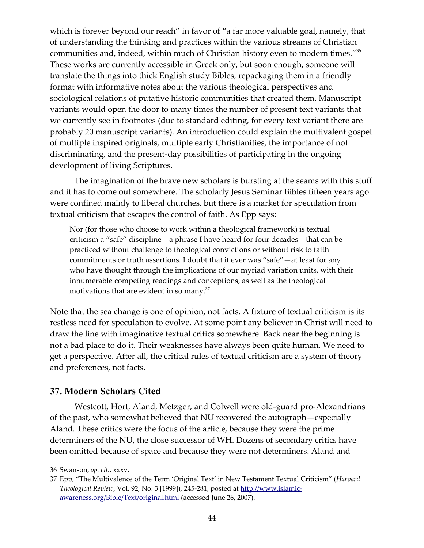<span id="page-43-2"></span>which is forever beyond our reach" in favor of "a far more valuable goal, namely, that of understanding the thinking and practices within the various streams of Christian communities and, indeed, within much of Christian history even to modern times."<sup>[36](#page-43-2)</sup> These works are currently accessible in Greek only, but soon enough, someone will translate the things into thick English study Bibles, repackaging them in a friendly format with informative notes about the various theological perspectives and sociological relations of putative historic communities that created them. Manuscript variants would open the door to many times the number of present text variants that we currently see in footnotes (due to standard editing, for every text variant there are probably 20 manuscript variants). An introduction could explain the multivalent gospel of multiple inspired originals, multiple early Christianities, the importance of not discriminating, and the present-day possibilities of participating in the ongoing development of living Scriptures.

The imagination of the brave new scholars is bursting at the seams with this stuff and it has to come out somewhere. The scholarly Jesus Seminar Bibles fifteen years ago were confined mainly to liberal churches, but there is a market for speculation from textual criticism that escapes the control of faith. As Epp says:

<span id="page-43-1"></span>Nor (for those who choose to work within a theological framework) is textual criticism a "safe" discipline—a phrase I have heard for four decades—that can be practiced without challenge to theological convictions or without risk to faith commitments or truth assertions. I doubt that it ever was "safe"—at least for any who have thought through the implications of our myriad variation units, with their innumerable competing readings and conceptions, as well as the theological motivations that are evident in so many.<sup>[37](#page-43-1)</sup>

Note that the sea change is one of opinion, not facts. A fixture of textual criticism is its restless need for speculation to evolve. At some point any believer in Christ will need to draw the line with imaginative textual critics somewhere. Back near the beginning is not a bad place to do it. Their weaknesses have always been quite human. We need to get a perspective. After all, the critical rules of textual criticism are a system of theory and preferences, not facts.

# <span id="page-43-0"></span>**37. Modern Scholars Cited**

Westcott, Hort, Aland, Metzger, and Colwell were old-guard pro-Alexandrians of the past, who somewhat believed that NU recovered the autograph—especially Aland. These critics were the focus of the article, because they were the prime determiners of the NU, the close successor of WH. Dozens of secondary critics have been omitted because of space and because they were not determiners. Aland and

<span id="page-43-3"></span><sup>36</sup> Swanson, *op. cit.*, xxxv.

<span id="page-43-4"></span><sup>37</sup> Epp, "The Multivalence of the Term 'Original Text' in New Testament Textual Criticism" (*Harvard Theological Review*, Vol. 92, No. 3 [1999]), 245-281, posted at [http://www.islamic](http://www.islamic-awareness.org/Bible/Text/original.html)[awareness.org/Bible/Text/original.html](http://www.islamic-awareness.org/Bible/Text/original.html) (accessed June 26, 2007).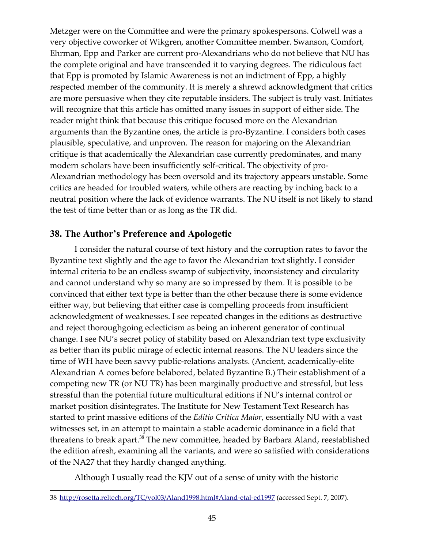Metzger were on the Committee and were the primary spokespersons. Colwell was a very objective coworker of Wikgren, another Committee member. Swanson, Comfort, Ehrman, Epp and Parker are current pro-Alexandrians who do not believe that NU has the complete original and have transcended it to varying degrees. The ridiculous fact that Epp is promoted by Islamic Awareness is not an indictment of Epp, a highly respected member of the community. It is merely a shrewd acknowledgment that critics are more persuasive when they cite reputable insiders. The subject is truly vast. Initiates will recognize that this article has omitted many issues in support of either side. The reader might think that because this critique focused more on the Alexandrian arguments than the Byzantine ones, the article is pro-Byzantine. I considers both cases plausible, speculative, and unproven. The reason for majoring on the Alexandrian critique is that academically the Alexandrian case currently predominates, and many modern scholars have been insufficiently self-critical. The objectivity of pro-Alexandrian methodology has been oversold and its trajectory appears unstable. Some critics are headed for troubled waters, while others are reacting by inching back to a neutral position where the lack of evidence warrants. The NU itself is not likely to stand the test of time better than or as long as the TR did.

# <span id="page-44-0"></span>**38. The Author's Preference and Apologetic**

I consider the natural course of text history and the corruption rates to favor the Byzantine text slightly and the age to favor the Alexandrian text slightly. I consider internal criteria to be an endless swamp of subjectivity, inconsistency and circularity and cannot understand why so many are so impressed by them. It is possible to be convinced that either text type is better than the other because there is some evidence either way, but believing that either case is compelling proceeds from insufficient acknowledgment of weaknesses. I see repeated changes in the editions as destructive and reject thoroughgoing eclecticism as being an inherent generator of continual change. I see NU's secret policy of stability based on Alexandrian text type exclusivity as better than its public mirage of eclectic internal reasons. The NU leaders since the time of WH have been savvy public-relations analysts. (Ancient, academically-elite Alexandrian A comes before belabored, belated Byzantine B.) Their establishment of a competing new TR (or NU TR) has been marginally productive and stressful, but less stressful than the potential future multicultural editions if NU's internal control or market position disintegrates. The Institute for New Testament Text Research has started to print massive editions of the *Editio Critica Maior*, essentially NU with a vast witnesses set, in an attempt to maintain a stable academic dominance in a field that threatens to break apart.<sup>[38](#page-44-1)</sup> The new committee, headed by Barbara Aland, reestablished the edition afresh, examining all the variants, and were so satisfied with considerations of the NA27 that they hardly changed anything.

<span id="page-44-1"></span>Although I usually read the KJV out of a sense of unity with the historic

<span id="page-44-2"></span><sup>38</sup> <http://rosetta.reltech.org/TC/vol03/Aland1998.html#Aland-etal-ed1997>(accessed Sept. 7, 2007).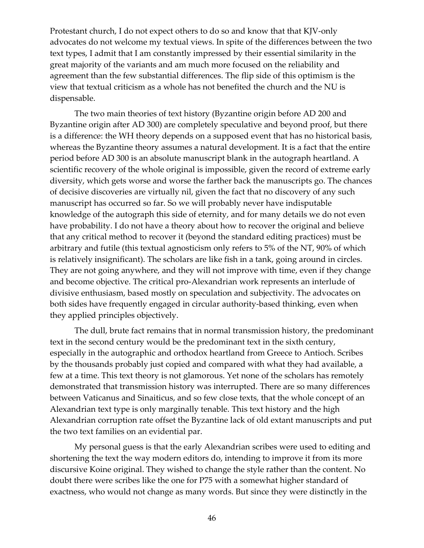Protestant church, I do not expect others to do so and know that that KJV-only advocates do not welcome my textual views. In spite of the differences between the two text types, I admit that I am constantly impressed by their essential similarity in the great majority of the variants and am much more focused on the reliability and agreement than the few substantial differences. The flip side of this optimism is the view that textual criticism as a whole has not benefited the church and the NU is dispensable.

The two main theories of text history (Byzantine origin before AD 200 and Byzantine origin after AD 300) are completely speculative and beyond proof, but there is a difference: the WH theory depends on a supposed event that has no historical basis, whereas the Byzantine theory assumes a natural development. It is a fact that the entire period before AD 300 is an absolute manuscript blank in the autograph heartland. A scientific recovery of the whole original is impossible, given the record of extreme early diversity, which gets worse and worse the farther back the manuscripts go. The chances of decisive discoveries are virtually nil, given the fact that no discovery of any such manuscript has occurred so far. So we will probably never have indisputable knowledge of the autograph this side of eternity, and for many details we do not even have probability. I do not have a theory about how to recover the original and believe that any critical method to recover it (beyond the standard editing practices) must be arbitrary and futile (this textual agnosticism only refers to 5% of the NT, 90% of which is relatively insignificant). The scholars are like fish in a tank, going around in circles. They are not going anywhere, and they will not improve with time, even if they change and become objective. The critical pro-Alexandrian work represents an interlude of divisive enthusiasm, based mostly on speculation and subjectivity. The advocates on both sides have frequently engaged in circular authority-based thinking, even when they applied principles objectively.

The dull, brute fact remains that in normal transmission history, the predominant text in the second century would be the predominant text in the sixth century, especially in the autographic and orthodox heartland from Greece to Antioch. Scribes by the thousands probably just copied and compared with what they had available, a few at a time. This text theory is not glamorous. Yet none of the scholars has remotely demonstrated that transmission history was interrupted. There are so many differences between Vaticanus and Sinaiticus, and so few close texts, that the whole concept of an Alexandrian text type is only marginally tenable. This text history and the high Alexandrian corruption rate offset the Byzantine lack of old extant manuscripts and put the two text families on an evidential par.

My personal guess is that the early Alexandrian scribes were used to editing and shortening the text the way modern editors do, intending to improve it from its more discursive Koine original. They wished to change the style rather than the content. No doubt there were scribes like the one for P75 with a somewhat higher standard of exactness, who would not change as many words. But since they were distinctly in the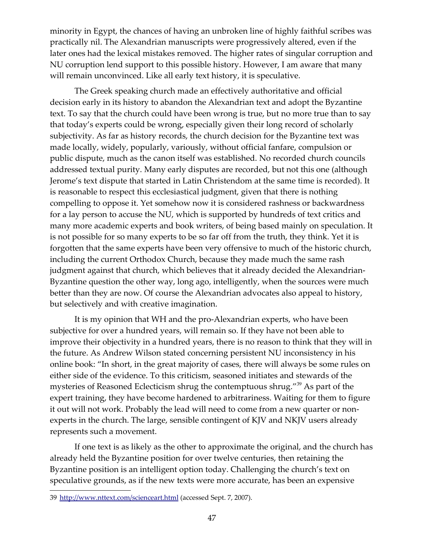minority in Egypt, the chances of having an unbroken line of highly faithful scribes was practically nil. The Alexandrian manuscripts were progressively altered, even if the later ones had the lexical mistakes removed. The higher rates of singular corruption and NU corruption lend support to this possible history. However, I am aware that many will remain unconvinced. Like all early text history, it is speculative.

The Greek speaking church made an effectively authoritative and official decision early in its history to abandon the Alexandrian text and adopt the Byzantine text. To say that the church could have been wrong is true, but no more true than to say that today's experts could be wrong, especially given their long record of scholarly subjectivity. As far as history records, the church decision for the Byzantine text was made locally, widely, popularly, variously, without official fanfare, compulsion or public dispute, much as the canon itself was established. No recorded church councils addressed textual purity. Many early disputes are recorded, but not this one (although Jerome's text dispute that started in Latin Christendom at the same time is recorded). It is reasonable to respect this ecclesiastical judgment, given that there is nothing compelling to oppose it. Yet somehow now it is considered rashness or backwardness for a lay person to accuse the NU, which is supported by hundreds of text critics and many more academic experts and book writers, of being based mainly on speculation. It is not possible for so many experts to be so far off from the truth, they think. Yet it is forgotten that the same experts have been very offensive to much of the historic church, including the current Orthodox Church, because they made much the same rash judgment against that church, which believes that it already decided the Alexandrian-Byzantine question the other way, long ago, intelligently, when the sources were much better than they are now. Of course the Alexandrian advocates also appeal to history, but selectively and with creative imagination.

It is my opinion that WH and the pro-Alexandrian experts, who have been subjective for over a hundred years, will remain so. If they have not been able to improve their objectivity in a hundred years, there is no reason to think that they will in the future. As Andrew Wilson stated concerning persistent NU inconsistency in his online book: "In short, in the great majority of cases, there will always be some rules on either side of the evidence. To this criticism, seasoned initiates and stewards of the mysteries of Reasoned Eclecticism shrug the contemptuous shrug."<sup>[39](#page-46-0)</sup> As part of the expert training, they have become hardened to arbitrariness. Waiting for them to figure it out will not work. Probably the lead will need to come from a new quarter or nonexperts in the church. The large, sensible contingent of KJV and NKJV users already represents such a movement.

<span id="page-46-0"></span>If one text is as likely as the other to approximate the original, and the church has already held the Byzantine position for over twelve centuries, then retaining the Byzantine position is an intelligent option today. Challenging the church's text on speculative grounds, as if the new texts were more accurate, has been an expensive

<span id="page-46-1"></span><sup>39</sup> <http://www.nttext.com/scienceart.html>(accessed Sept. 7, 2007).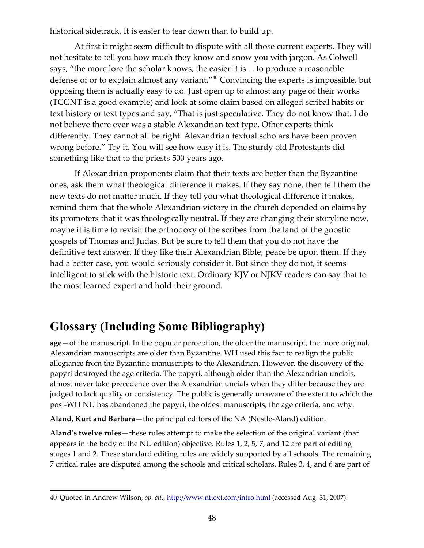historical sidetrack. It is easier to tear down than to build up.

<span id="page-47-2"></span>At first it might seem difficult to dispute with all those current experts. They will not hesitate to tell you how much they know and snow you with jargon. As Colwell says, "the more lore the scholar knows, the easier it is ... to produce a reasonable defense of or to explain almost any variant."[40](#page-47-2) Convincing the experts is impossible, but opposing them is actually easy to do. Just open up to almost any page of their works (TCGNT is a good example) and look at some claim based on alleged scribal habits or text history or text types and say, "That is just speculative. They do not know that. I do not believe there ever was a stable Alexandrian text type. Other experts think differently. They cannot all be right. Alexandrian textual scholars have been proven wrong before." Try it. You will see how easy it is. The sturdy old Protestants did something like that to the priests 500 years ago.

If Alexandrian proponents claim that their texts are better than the Byzantine ones, ask them what theological difference it makes. If they say none, then tell them the new texts do not matter much. If they tell you what theological difference it makes, remind them that the whole Alexandrian victory in the church depended on claims by its promoters that it was theologically neutral. If they are changing their storyline now, maybe it is time to revisit the orthodoxy of the scribes from the land of the gnostic gospels of Thomas and Judas. But be sure to tell them that you do not have the definitive text answer. If they like their Alexandrian Bible, peace be upon them. If they had a better case, you would seriously consider it. But since they do not, it seems intelligent to stick with the historic text. Ordinary KJV or NJKV readers can say that to the most learned expert and hold their ground.

# <span id="page-47-0"></span>**Glossary (Including Some Bibliography)**

**age**—of the manuscript. In the popular perception, the older the manuscript, the more original. Alexandrian manuscripts are older than Byzantine. WH used this fact to realign the public allegiance from the Byzantine manuscripts to the Alexandrian. However, the discovery of the papyri destroyed the age criteria. The papyri, although older than the Alexandrian uncials, almost never take precedence over the Alexandrian uncials when they differ because they are judged to lack quality or consistency. The public is generally unaware of the extent to which the post-WH NU has abandoned the papyri, the oldest manuscripts, the age criteria, and why.

**Aland, Kurt and Barbara**—the principal editors of the NA (Nestle-Aland) edition.

<span id="page-47-1"></span>**Aland's twelve rules**—these rules attempt to make the selection of the original variant (that appears in the body of the NU edition) objective. Rules 1, 2, 5, 7, and 12 are part of editing stages 1 and 2. These standard editing rules are widely supported by all schools. The remaining 7 critical rules are disputed among the schools and critical scholars. Rules 3, 4, and 6 are part of

<span id="page-47-3"></span><sup>40</sup> Quoted in Andrew Wilson, *op. cit.*,<http://www.nttext.com/intro.html>(accessed Aug. 31, 2007).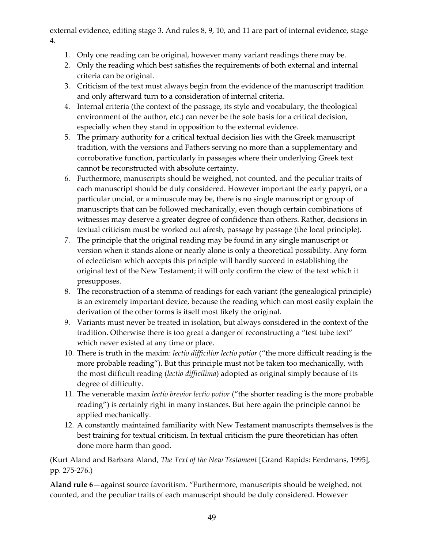external evidence, editing stage 3. And rules 8, 9, 10, and 11 are part of internal evidence, stage 4.

- 1. Only one reading can be original, however many variant readings there may be.
- 2. Only the reading which best satisfies the requirements of both external and internal criteria can be original.
- 3. Criticism of the text must always begin from the evidence of the manuscript tradition and only afterward turn to a consideration of internal criteria.
- 4. Internal criteria (the context of the passage, its style and vocabulary, the theological environment of the author, etc.) can never be the sole basis for a critical decision, especially when they stand in opposition to the external evidence.
- 5. The primary authority for a critical textual decision lies with the Greek manuscript tradition, with the versions and Fathers serving no more than a supplementary and corroborative function, particularly in passages where their underlying Greek text cannot be reconstructed with absolute certainty.
- 6. Furthermore, manuscripts should be weighed, not counted, and the peculiar traits of each manuscript should be duly considered. However important the early papyri, or a particular uncial, or a minuscule may be, there is no single manuscript or group of manuscripts that can be followed mechanically, even though certain combinations of witnesses may deserve a greater degree of confidence than others. Rather, decisions in textual criticism must be worked out afresh, passage by passage (the local principle).
- 7. The principle that the original reading may be found in any single manuscript or version when it stands alone or nearly alone is only a theoretical possibility. Any form of eclecticism which accepts this principle will hardly succeed in establishing the original text of the New Testament; it will only confirm the view of the text which it presupposes.
- 8. The reconstruction of a stemma of readings for each variant (the genealogical principle) is an extremely important device, because the reading which can most easily explain the derivation of the other forms is itself most likely the original.
- 9. Variants must never be treated in isolation, but always considered in the context of the tradition. Otherwise there is too great a danger of reconstructing a "test tube text" which never existed at any time or place.
- 10. There is truth in the maxim: *lectio difficilior lectio potior* ("the more difficult reading is the more probable reading"). But this principle must not be taken too mechanically, with the most difficult reading (*lectio difficilima*) adopted as original simply because of its degree of difficulty.
- 11. The venerable maxim *lectio brevior lectio potior* ("the shorter reading is the more probable reading") is certainly right in many instances. But here again the principle cannot be applied mechanically.
- 12. A constantly maintained familiarity with New Testament manuscripts themselves is the best training for textual criticism. In textual criticism the pure theoretician has often done more harm than good.

(Kurt Aland and Barbara Aland, *The Text of the New Testament* [Grand Rapids: Eerdmans, 1995], pp. 275-276.)

<span id="page-48-0"></span>**Aland rule 6**—against source favoritism. "Furthermore, manuscripts should be weighed, not counted, and the peculiar traits of each manuscript should be duly considered. However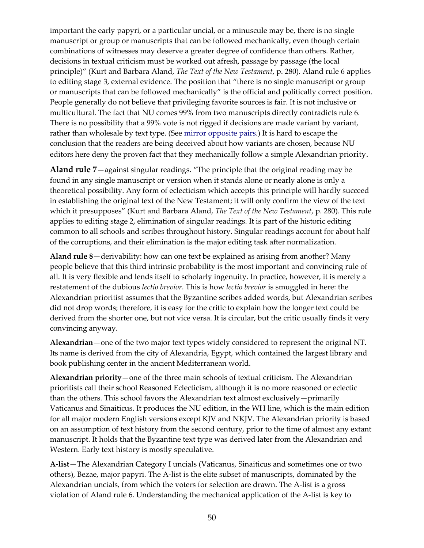important the early papyri, or a particular uncial, or a minuscule may be, there is no single manuscript or group or manuscripts that can be followed mechanically, even though certain combinations of witnesses may deserve a greater degree of confidence than others. Rather, decisions in textual criticism must be worked out afresh, passage by passage (the local principle)" (Kurt and Barbara Aland, *The Text of the New Testament*, p. 280). Aland rule 6 applies to editing stage 3, external evidence. The position that "there is no single manuscript or group or manuscripts that can be followed mechanically" is the official and politically correct position. People generally do not believe that privileging favorite sources is fair. It is not inclusive or multicultural. The fact that NU comes 99% from two manuscripts directly contradicts rule 6. There is no possibility that a 99% vote is not rigged if decisions are made variant by variant, rather than wholesale by text type. (See [mirror opposite pairs.](#page-53-0)) It is hard to escape the conclusion that the readers are being deceived about how variants are chosen, because NU editors here deny the proven fact that they mechanically follow a simple Alexandrian priority.

<span id="page-49-0"></span>**Aland rule 7**—against singular readings. "The principle that the original reading may be found in any single manuscript or version when it stands alone or nearly alone is only a theoretical possibility. Any form of eclecticism which accepts this principle will hardly succeed in establishing the original text of the New Testament; it will only confirm the view of the text which it presupposes" (Kurt and Barbara Aland, *The Text of the New Testament*, p. 280). This rule applies to editing stage 2, elimination of singular readings. It is part of the historic editing common to all schools and scribes throughout history. Singular readings account for about half of the corruptions, and their elimination is the major editing task after normalization.

**Aland rule 8**—derivability: how can one text be explained as arising from another? Many people believe that this third intrinsic probability is the most important and convincing rule of all. It is very flexible and lends itself to scholarly ingenuity. In practice, however, it is merely a restatement of the dubious *lectio brevior*. This is how *lectio brevior* is smuggled in here: the Alexandrian prioritist assumes that the Byzantine scribes added words, but Alexandrian scribes did not drop words; therefore, it is easy for the critic to explain how the longer text could be derived from the shorter one, but not vice versa. It is circular, but the critic usually finds it very convincing anyway.

**Alexandrian**—one of the two major text types widely considered to represent the original NT. Its name is derived from the city of Alexandria, Egypt, which contained the largest library and book publishing center in the ancient Mediterranean world.

<span id="page-49-1"></span>**Alexandrian priority**—one of the three main schools of textual criticism. The Alexandrian prioritists call their school Reasoned Eclecticism, although it is no more reasoned or eclectic than the others. This school favors the Alexandrian text almost exclusively—primarily Vaticanus and Sinaiticus. It produces the NU edition, in the WH line, which is the main edition for all major modern English versions except KJV and NKJV. The Alexandrian priority is based on an assumption of text history from the second century, prior to the time of almost any extant manuscript. It holds that the Byzantine text type was derived later from the Alexandrian and Western. Early text history is mostly speculative.

**A-list**—The Alexandrian Category I uncials (Vaticanus, Sinaiticus and sometimes one or two others), Bezae, major papyri. The A-list is the elite subset of manuscripts, dominated by the Alexandrian uncials, from which the voters for selection are drawn. The A-list is a gross violation of Aland rule 6. Understanding the mechanical application of the A-list is key to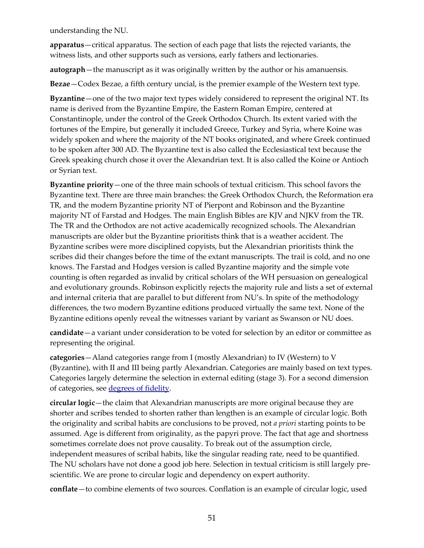understanding the NU.

**apparatus**—critical apparatus. The section of each page that lists the rejected variants, the witness lists, and other supports such as versions, early fathers and lectionaries.

**autograph**—the manuscript as it was originally written by the author or his amanuensis.

**Bezae**—Codex Bezae, a fifth century uncial, is the premier example of the Western text type.

**Byzantine**—one of the two major text types widely considered to represent the original NT. Its name is derived from the Byzantine Empire, the Eastern Roman Empire, centered at Constantinople, under the control of the Greek Orthodox Church. Its extent varied with the fortunes of the Empire, but generally it included Greece, Turkey and Syria, where Koine was widely spoken and where the majority of the NT books originated, and where Greek continued to be spoken after 300 AD. The Byzantine text is also called the Ecclesiastical text because the Greek speaking church chose it over the Alexandrian text. It is also called the Koine or Antioch or Syrian text.

**Byzantine priority**—one of the three main schools of textual criticism. This school favors the Byzantine text. There are three main branches: the Greek Orthodox Church, the Reformation era TR, and the modern Byzantine priority NT of Pierpont and Robinson and the Byzantine majority NT of Farstad and Hodges. The main English Bibles are KJV and NJKV from the TR. The TR and the Orthodox are not active academically recognized schools. The Alexandrian manuscripts are older but the Byzantine prioritists think that is a weather accident. The Byzantine scribes were more disciplined copyists, but the Alexandrian prioritists think the scribes did their changes before the time of the extant manuscripts. The trail is cold, and no one knows. The Farstad and Hodges version is called Byzantine majority and the simple vote counting is often regarded as invalid by critical scholars of the WH persuasion on genealogical and evolutionary grounds. Robinson explicitly rejects the majority rule and lists a set of external and internal criteria that are parallel to but different from NU's. In spite of the methodology differences, the two modern Byzantine editions produced virtually the same text. None of the Byzantine editions openly reveal the witnesses variant by variant as Swanson or NU does.

**candidate**—a variant under consideration to be voted for selection by an editor or committee as representing the original.

**categories**—Aland categories range from I (mostly Alexandrian) to IV (Western) to V (Byzantine), with II and III being partly Alexandrian. Categories are mainly based on text types. Categories largely determine the selection in external editing (stage 3). For a second dimension of categories, see [degrees of fidelity.](#page-51-0)

**circular logic**—the claim that Alexandrian manuscripts are more original because they are shorter and scribes tended to shorten rather than lengthen is an example of circular logic. Both the originality and scribal habits are conclusions to be proved, not *a priori* starting points to be assumed. Age is different from originality, as the papyri prove. The fact that age and shortness sometimes correlate does not prove causality. To break out of the assumption circle, independent measures of scribal habits, like the singular reading rate, need to be quantified. The NU scholars have not done a good job here. Selection in textual criticism is still largely prescientific. We are prone to circular logic and dependency on expert authority.

**conflate**—to combine elements of two sources. Conflation is an example of circular logic, used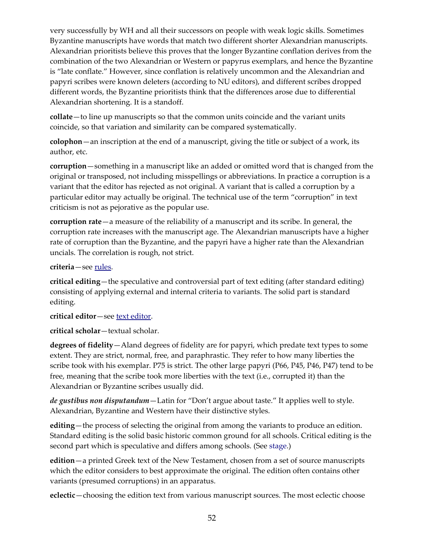very successfully by WH and all their successors on people with weak logic skills. Sometimes Byzantine manuscripts have words that match two different shorter Alexandrian manuscripts. Alexandrian prioritists believe this proves that the longer Byzantine conflation derives from the combination of the two Alexandrian or Western or papyrus exemplars, and hence the Byzantine is "late conflate." However, since conflation is relatively uncommon and the Alexandrian and papyri scribes were known deleters (according to NU editors), and different scribes dropped different words, the Byzantine prioritists think that the differences arose due to differential Alexandrian shortening. It is a standoff.

**collate**—to line up manuscripts so that the common units coincide and the variant units coincide, so that variation and similarity can be compared systematically.

**colophon**—an inscription at the end of a manuscript, giving the title or subject of a work, its author, etc.

**corruption**—something in a manuscript like an added or omitted word that is changed from the original or transposed, not including misspellings or abbreviations. In practice a corruption is a variant that the editor has rejected as not original. A variant that is called a corruption by a particular editor may actually be original. The technical use of the term "corruption" in text criticism is not as pejorative as the popular use.

**corruption rate**—a measure of the reliability of a manuscript and its scribe. In general, the corruption rate increases with the manuscript age. The Alexandrian manuscripts have a higher rate of corruption than the Byzantine, and the papyri have a higher rate than the Alexandrian uncials. The correlation is rough, not strict.

**criteria**—see [rules.](#page-55-0)

**critical editing**—the speculative and controversial part of text editing (after standard editing) consisting of applying external and internal criteria to variants. The solid part is standard editing.

**critical editor**—see [text editor.](#page-56-1)

**critical scholar**—textual scholar.

<span id="page-51-0"></span>**degrees of fidelity**—Aland degrees of fidelity are for papyri, which predate text types to some extent. They are strict, normal, free, and paraphrastic. They refer to how many liberties the scribe took with his exemplar. P75 is strict. The other large papyri (P66, P45, P46, P47) tend to be free, meaning that the scribe took more liberties with the text (i.e., corrupted it) than the Alexandrian or Byzantine scribes usually did.

*de gustibus non disputandum*—Latin for "Don't argue about taste." It applies well to style. Alexandrian, Byzantine and Western have their distinctive styles.

**editing**—the process of selecting the original from among the variants to produce an edition. Standard editing is the solid basic historic common ground for all schools. Critical editing is the second part which is speculative and differs among schools. (See [stage.](#page-56-0))

**edition**—a printed Greek text of the New Testament, chosen from a set of source manuscripts which the editor considers to best approximate the original. The edition often contains other variants (presumed corruptions) in an apparatus.

**eclectic**—choosing the edition text from various manuscript sources. The most eclectic choose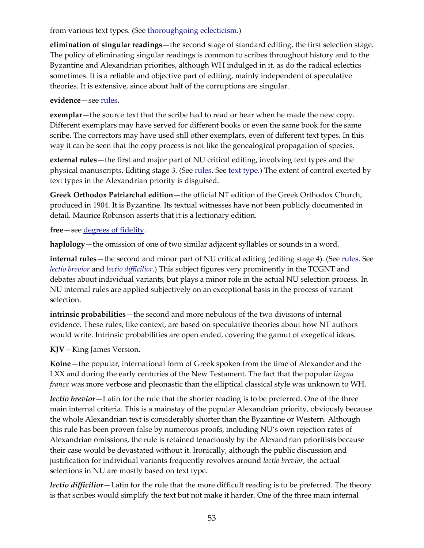#### from various text types. (See [thoroughgoing eclecticism.](#page-57-1))

<span id="page-52-4"></span>**elimination of singular readings**—the second stage of standard editing, the first selection stage. The policy of eliminating singular readings is common to scribes throughout history and to the Byzantine and Alexandrian priorities, although WH indulged in it, as do the radical eclectics sometimes. It is a reliable and objective part of editing, mainly independent of speculative theories. It is extensive, since about half of the corruptions are singular.

#### **evidence**—see [rules.](#page-55-0)

**exemplar**—the source text that the scribe had to read or hear when he made the new copy. Different exemplars may have served for different books or even the same book for the same scribe. The correctors may have used still other exemplars, even of different text types. In this way it can be seen that the copy process is not like the genealogical propagation of species.

**external rules**—the first and major part of NU critical editing, involving text types and the physical manuscripts. Editing stage 3. (See [rules.](#page-55-0) See [text type.](#page-57-0)) The extent of control exerted by text types in the Alexandrian priority is disguised.

<span id="page-52-2"></span>**Greek Orthodox Patriarchal edition**—the official NT edition of the Greek Orthodox Church, produced in 1904. It is Byzantine. Its textual witnesses have not been publicly documented in detail. Maurice Robinson asserts that it is a lectionary edition.

**free**—see [degrees of fidelity.](#page-51-0)

**haplology**—the omission of one of two similar adjacent syllables or sounds in a word.

**internal rules**—the second and minor part of NU critical editing (editing stage 4). (See [rules.](#page-55-0) See *[lectio brevior](#page-52-1)* and *[lectio difficilior](#page-52-0)*.) This subject figures very prominently in the TCGNT and debates about individual variants, but plays a minor role in the actual NU selection process. In NU internal rules are applied subjectively on an exceptional basis in the process of variant selection.

**intrinsic probabilities**—the second and more nebulous of the two divisions of internal evidence. These rules, like context, are based on speculative theories about how NT authors would write. Intrinsic probabilities are open ended, covering the gamut of exegetical ideas.

**KJV**—King James Version.

<span id="page-52-3"></span>**Koine**—the popular, international form of Greek spoken from the time of Alexander and the LXX and during the early centuries of the New Testament. The fact that the popular *lingua franca* was more verbose and pleonastic than the elliptical classical style was unknown to WH.

<span id="page-52-1"></span>*lectio brevior*—Latin for the rule that the shorter reading is to be preferred. One of the three main internal criteria. This is a mainstay of the popular Alexandrian priority, obviously because the whole Alexandrian text is considerably shorter than the Byzantine or Western. Although this rule has been proven false by numerous proofs, including NU's own rejection rates of Alexandrian omissions, the rule is retained tenaciously by the Alexandrian prioritists because their case would be devastated without it. Ironically, although the public discussion and justification for individual variants frequently revolves around *lectio brevior*, the actual selections in NU are mostly based on text type.

<span id="page-52-0"></span>*lectio difficilior*—Latin for the rule that the more difficult reading is to be preferred. The theory is that scribes would simplify the text but not make it harder. One of the three main internal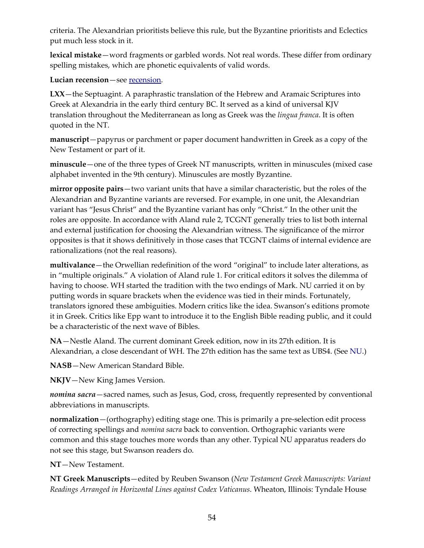criteria. The Alexandrian prioritists believe this rule, but the Byzantine prioritists and Eclectics put much less stock in it.

**lexical mistake**—word fragments or garbled words. Not real words. These differ from ordinary spelling mistakes, which are phonetic equivalents of valid words.

<span id="page-53-2"></span>**Lucian recension**—see [recension.](#page-55-1)

**LXX**—the Septuagint. A paraphrastic translation of the Hebrew and Aramaic Scriptures into Greek at Alexandria in the early third century BC. It served as a kind of universal KJV translation throughout the Mediterranean as long as Greek was the *lingua franca*. It is often quoted in the NT.

**manuscript**—papyrus or parchment or paper document handwritten in Greek as a copy of the New Testament or part of it.

**minuscule**—one of the three types of Greek NT manuscripts, written in minuscules (mixed case alphabet invented in the 9th century). Minuscules are mostly Byzantine.

<span id="page-53-0"></span>**mirror opposite pairs**—two variant units that have a similar characteristic, but the roles of the Alexandrian and Byzantine variants are reversed. For example, in one unit, the Alexandrian variant has "Jesus Christ" and the Byzantine variant has only "Christ." In the other unit the roles are opposite. In accordance with Aland rule 2, TCGNT generally tries to list both internal and external justification for choosing the Alexandrian witness. The significance of the mirror opposites is that it shows definitively in those cases that TCGNT claims of internal evidence are rationalizations (not the real reasons).

<span id="page-53-1"></span>**multivalance**—the Orwellian redefinition of the word "original" to include later alterations, as in "multiple originals." A violation of Aland rule 1. For critical editors it solves the dilemma of having to choose. WH started the tradition with the two endings of Mark. NU carried it on by putting words in square brackets when the evidence was tied in their minds. Fortunately, translators ignored these ambiguities. Modern critics like the idea. Swanson's editions promote it in Greek. Critics like Epp want to introduce it to the English Bible reading public, and it could be a characteristic of the next wave of Bibles.

**NA**—Nestle Aland. The current dominant Greek edition, now in its 27th edition. It is Alexandrian, a close descendant of WH. The 27th edition has the same text as UBS4. (See [NU.](#page-54-0))

**NASB**—New American Standard Bible.

**NKJV**—New King James Version.

*nomina sacra*—sacred names, such as Jesus, God, cross, frequently represented by conventional abbreviations in manuscripts.

**normalization**—(orthography) editing stage one. This is primarily a pre-selection edit process of correcting spellings and *nomina sacra* back to convention. Orthographic variants were common and this stage touches more words than any other. Typical NU apparatus readers do not see this stage, but Swanson readers do.

**NT**—New Testament.

<span id="page-53-3"></span>**NT Greek Manuscripts**—edited by Reuben Swanson (*New Testament Greek Manuscripts: Variant Readings Arranged in Horizontal Lines against Codex Vaticanus*. Wheaton, Illinois: Tyndale House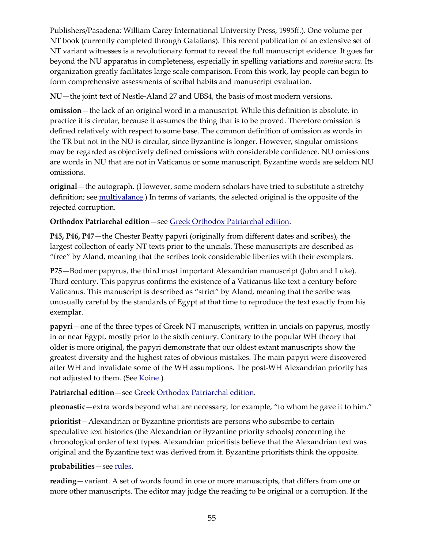Publishers/Pasadena: William Carey International University Press, 1995ff.). One volume per NT book (currently completed through Galatians). This recent publication of an extensive set of NT variant witnesses is a revolutionary format to reveal the full manuscript evidence. It goes far beyond the NU apparatus in completeness, especially in spelling variations and *nomina sacra*. Its organization greatly facilitates large scale comparison. From this work, lay people can begin to form comprehensive assessments of scribal habits and manuscript evaluation.

<span id="page-54-0"></span>**NU**—the joint text of Nestle-Aland 27 and UBS4, the basis of most modern versions.

**omission**—the lack of an original word in a manuscript. While this definition is absolute, in practice it is circular, because it assumes the thing that is to be proved. Therefore omission is defined relatively with respect to some base. The common definition of omission as words in the TR but not in the NU is circular, since Byzantine is longer. However, singular omissions may be regarded as objectively defined omissions with considerable confidence. NU omissions are words in NU that are not in Vaticanus or some manuscript. Byzantine words are seldom NU omissions.

**original**—the autograph. (However, some modern scholars have tried to substitute a stretchy definition; see [multivalance.](#page-53-1)) In terms of variants, the selected original is the opposite of the rejected corruption.

#### **Orthodox Patriarchal edition**—see [Greek Orthodox Patriarchal edition.](#page-52-2)

**P45, P46, P47**—the Chester Beatty papyri (originally from different dates and scribes), the largest collection of early NT texts prior to the uncials. These manuscripts are described as "free" by Aland, meaning that the scribes took considerable liberties with their exemplars.

**P75**—Bodmer papyrus, the third most important Alexandrian manuscript (John and Luke). Third century. This papyrus confirms the existence of a Vaticanus-like text a century before Vaticanus. This manuscript is described as "strict" by Aland, meaning that the scribe was unusually careful by the standards of Egypt at that time to reproduce the text exactly from his exemplar.

**papyri**—one of the three types of Greek NT manuscripts, written in uncials on papyrus, mostly in or near Egypt, mostly prior to the sixth century. Contrary to the popular WH theory that older is more original, the papyri demonstrate that our oldest extant manuscripts show the greatest diversity and the highest rates of obvious mistakes. The main papyri were discovered after WH and invalidate some of the WH assumptions. The post-WH Alexandrian priority has not adjusted to them. (See [Koine.](#page-52-3))

#### **Patriarchal edition**—see [Greek Orthodox Patriarchal edition.](#page-52-2)

**pleonastic**—extra words beyond what are necessary, for example, "to whom he gave it to him."

**prioritist**—Alexandrian or Byzantine prioritists are persons who subscribe to certain speculative text histories (the Alexandrian or Byzantine priority schools) concerning the chronological order of text types. Alexandrian prioritists believe that the Alexandrian text was original and the Byzantine text was derived from it. Byzantine prioritists think the opposite.

#### **probabilities**—see [rules.](#page-55-0)

**reading**—variant. A set of words found in one or more manuscripts, that differs from one or more other manuscripts. The editor may judge the reading to be original or a corruption. If the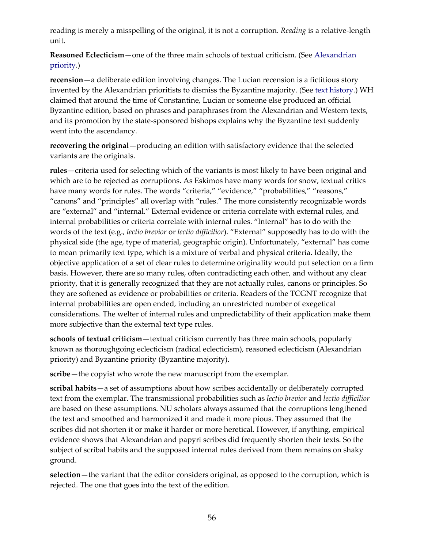reading is merely a misspelling of the original, it is not a corruption. *Reading* is a relative-length unit.

**Reasoned Eclecticism**—one of the three main schools of textual criticism. (See [Alexandrian](#page-49-1) [priority.](#page-49-1))

<span id="page-55-1"></span>**recension**—a deliberate edition involving changes. The Lucian recension is a fictitious story invented by the Alexandrian prioritists to dismiss the Byzantine majority. (See [text history.\)](#page-56-2) WH claimed that around the time of Constantine, Lucian or someone else produced an official Byzantine edition, based on phrases and paraphrases from the Alexandrian and Western texts, and its promotion by the state-sponsored bishops explains why the Byzantine text suddenly went into the ascendancy.

**recovering the original**—producing an edition with satisfactory evidence that the selected variants are the originals.

<span id="page-55-0"></span>**rules**—criteria used for selecting which of the variants is most likely to have been original and which are to be rejected as corruptions. As Eskimos have many words for snow, textual critics have many words for rules. The words "criteria," "evidence," "probabilities," "reasons," "canons" and "principles" all overlap with "rules." The more consistently recognizable words are "external" and "internal." External evidence or criteria correlate with external rules, and internal probabilities or criteria correlate with internal rules. "Internal" has to do with the words of the text (e.g., *lectio brevior* or *lectio difficilior*). "External" supposedly has to do with the physical side (the age, type of material, geographic origin). Unfortunately, "external" has come to mean primarily text type, which is a mixture of verbal and physical criteria. Ideally, the objective application of a set of clear rules to determine originality would put selection on a firm basis. However, there are so many rules, often contradicting each other, and without any clear priority, that it is generally recognized that they are not actually rules, canons or principles. So they are softened as evidence or probabilities or criteria. Readers of the TCGNT recognize that internal probabilities are open ended, including an unrestricted number of exegetical considerations. The welter of internal rules and unpredictability of their application make them more subjective than the external text type rules.

**schools of textual criticism**—textual criticism currently has three main schools, popularly known as thoroughgoing eclecticism (radical eclecticism), reasoned eclecticism (Alexandrian priority) and Byzantine priority (Byzantine majority).

**scribe**—the copyist who wrote the new manuscript from the exemplar.

**scribal habits**—a set of assumptions about how scribes accidentally or deliberately corrupted text from the exemplar. The transmissional probabilities such as *lectio brevior* and *lectio difficilior* are based on these assumptions. NU scholars always assumed that the corruptions lengthened the text and smoothed and harmonized it and made it more pious. They assumed that the scribes did not shorten it or make it harder or more heretical. However, if anything, empirical evidence shows that Alexandrian and papyri scribes did frequently shorten their texts. So the subject of scribal habits and the supposed internal rules derived from them remains on shaky ground.

**selection**—the variant that the editor considers original, as opposed to the corruption, which is rejected. The one that goes into the text of the edition.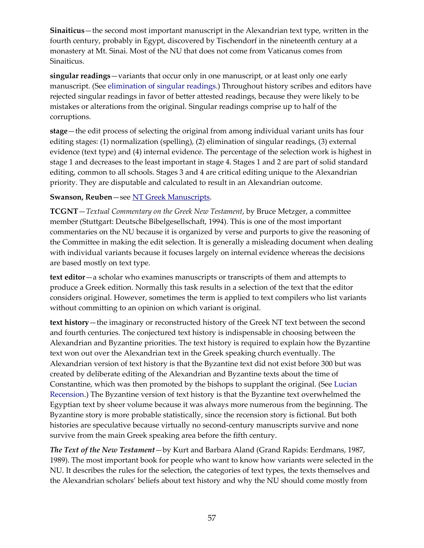**Sinaiticus**—the second most important manuscript in the Alexandrian text type, written in the fourth century, probably in Egypt, discovered by Tischendorf in the nineteenth century at a monastery at Mt. Sinai. Most of the NU that does not come from Vaticanus comes from Sinaiticus.

**singular readings**—variants that occur only in one manuscript, or at least only one early manuscript. (See [elimination of singular readings.](#page-52-4)) Throughout history scribes and editors have rejected singular readings in favor of better attested readings, because they were likely to be mistakes or alterations from the original. Singular readings comprise up to half of the corruptions.

<span id="page-56-0"></span>**stage**—the edit process of selecting the original from among individual variant units has four editing stages: (1) normalization (spelling), (2) elimination of singular readings, (3) external evidence (text type) and (4) internal evidence. The percentage of the selection work is highest in stage 1 and decreases to the least important in stage 4. Stages 1 and 2 are part of solid standard editing, common to all schools. Stages 3 and 4 are critical editing unique to the Alexandrian priority. They are disputable and calculated to result in an Alexandrian outcome.

#### **Swanson, Reuben**—see [NT Greek Manuscripts.](#page-53-3)

**TCGNT**—*Textual Commentary on the Greek New Testament*, by Bruce Metzger, a committee member (Stuttgart: Deutsche Bibelgesellschaft, 1994). This is one of the most important commentaries on the NU because it is organized by verse and purports to give the reasoning of the Committee in making the edit selection. It is generally a misleading document when dealing with individual variants because it focuses largely on internal evidence whereas the decisions are based mostly on text type.

<span id="page-56-1"></span>**text editor**—a scholar who examines manuscripts or transcripts of them and attempts to produce a Greek edition. Normally this task results in a selection of the text that the editor considers original. However, sometimes the term is applied to text compilers who list variants without committing to an opinion on which variant is original.

<span id="page-56-2"></span>**text history**—the imaginary or reconstructed history of the Greek NT text between the second and fourth centuries. The conjectured text history is indispensable in choosing between the Alexandrian and Byzantine priorities. The text history is required to explain how the Byzantine text won out over the Alexandrian text in the Greek speaking church eventually. The Alexandrian version of text history is that the Byzantine text did not exist before 300 but was created by deliberate editing of the Alexandrian and Byzantine texts about the time of Constantine, which was then promoted by the bishops to supplant the original. (See [Lucian](#page-53-2) [Recension.](#page-53-2)) The Byzantine version of text history is that the Byzantine text overwhelmed the Egyptian text by sheer volume because it was always more numerous from the beginning. The Byzantine story is more probable statistically, since the recension story is fictional. But both histories are speculative because virtually no second-century manuscripts survive and none survive from the main Greek speaking area before the fifth century.

*The Text of the New Testament*—by Kurt and Barbara Aland (Grand Rapids: Eerdmans, 1987, 1989). The most important book for people who want to know how variants were selected in the NU. It describes the rules for the selection, the categories of text types, the texts themselves and the Alexandrian scholars' beliefs about text history and why the NU should come mostly from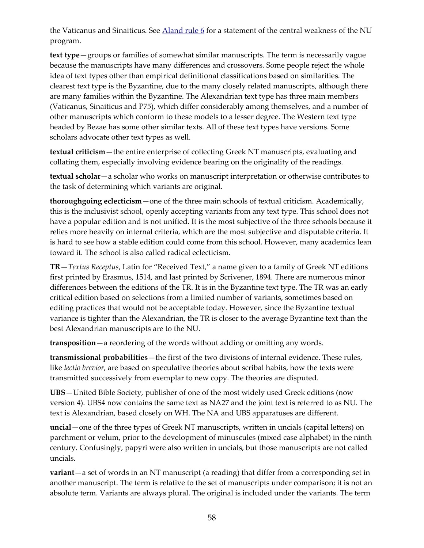the Vaticanus and Sinaiticus. See [Aland rule 6](#page-48-0) for a statement of the central weakness of the NU program.

<span id="page-57-0"></span>**text type**—groups or families of somewhat similar manuscripts. The term is necessarily vague because the manuscripts have many differences and crossovers. Some people reject the whole idea of text types other than empirical definitional classifications based on similarities. The clearest text type is the Byzantine, due to the many closely related manuscripts, although there are many families within the Byzantine. The Alexandrian text type has three main members (Vaticanus, Sinaiticus and P75), which differ considerably among themselves, and a number of other manuscripts which conform to these models to a lesser degree. The Western text type headed by Bezae has some other similar texts. All of these text types have versions. Some scholars advocate other text types as well.

**textual criticism**—the entire enterprise of collecting Greek NT manuscripts, evaluating and collating them, especially involving evidence bearing on the originality of the readings.

**textual scholar**—a scholar who works on manuscript interpretation or otherwise contributes to the task of determining which variants are original.

<span id="page-57-1"></span>**thoroughgoing eclecticism**—one of the three main schools of textual criticism. Academically, this is the inclusivist school, openly accepting variants from any text type. This school does not have a popular edition and is not unified. It is the most subjective of the three schools because it relies more heavily on internal criteria, which are the most subjective and disputable criteria. It is hard to see how a stable edition could come from this school. However, many academics lean toward it. The school is also called radical eclecticism.

**TR**—*Textus Receptus*, Latin for "Received Text," a name given to a family of Greek NT editions first printed by Erasmus, 1514, and last printed by Scrivener, 1894. There are numerous minor differences between the editions of the TR. It is in the Byzantine text type. The TR was an early critical edition based on selections from a limited number of variants, sometimes based on editing practices that would not be acceptable today. However, since the Byzantine textual variance is tighter than the Alexandrian, the TR is closer to the average Byzantine text than the best Alexandrian manuscripts are to the NU.

**transposition**—a reordering of the words without adding or omitting any words.

**transmissional probabilities**—the first of the two divisions of internal evidence. These rules, like *lectio brevior*, are based on speculative theories about scribal habits, how the texts were transmitted successively from exemplar to new copy. The theories are disputed.

**UBS**—United Bible Society, publisher of one of the most widely used Greek editions (now version 4). UBS4 now contains the same text as NA27 and the joint text is referred to as NU. The text is Alexandrian, based closely on WH. The NA and UBS apparatuses are different.

**uncial**—one of the three types of Greek NT manuscripts, written in uncials (capital letters) on parchment or velum, prior to the development of minuscules (mixed case alphabet) in the ninth century. Confusingly, papyri were also written in uncials, but those manuscripts are not called uncials.

**variant**—a set of words in an NT manuscript (a reading) that differ from a corresponding set in another manuscript. The term is relative to the set of manuscripts under comparison; it is not an absolute term. Variants are always plural. The original is included under the variants. The term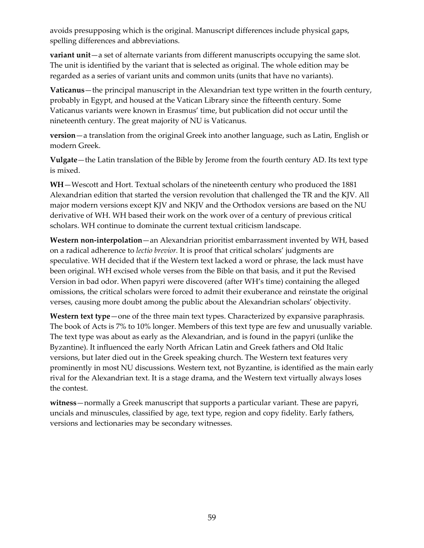avoids presupposing which is the original. Manuscript differences include physical gaps, spelling differences and abbreviations.

**variant unit**—a set of alternate variants from different manuscripts occupying the same slot. The unit is identified by the variant that is selected as original. The whole edition may be regarded as a series of variant units and common units (units that have no variants).

**Vaticanus**—the principal manuscript in the Alexandrian text type written in the fourth century, probably in Egypt, and housed at the Vatican Library since the fifteenth century. Some Vaticanus variants were known in Erasmus' time, but publication did not occur until the nineteenth century. The great majority of NU is Vaticanus.

**version**—a translation from the original Greek into another language, such as Latin, English or modern Greek.

**Vulgate**—the Latin translation of the Bible by Jerome from the fourth century AD. Its text type is mixed.

**WH**—Wescott and Hort. Textual scholars of the nineteenth century who produced the 1881 Alexandrian edition that started the version revolution that challenged the TR and the KJV. All major modern versions except KJV and NKJV and the Orthodox versions are based on the NU derivative of WH. WH based their work on the work over of a century of previous critical scholars. WH continue to dominate the current textual criticism landscape.

**Western non-interpolation**—an Alexandrian prioritist embarrassment invented by WH, based on a radical adherence to *lectio brevior.* It is proof that critical scholars' judgments are speculative. WH decided that if the Western text lacked a word or phrase, the lack must have been original. WH excised whole verses from the Bible on that basis, and it put the Revised Version in bad odor. When papyri were discovered (after WH's time) containing the alleged omissions, the critical scholars were forced to admit their exuberance and reinstate the original verses, causing more doubt among the public about the Alexandrian scholars' objectivity.

Western text type—one of the three main text types. Characterized by expansive paraphrasis. The book of Acts is 7% to 10% longer. Members of this text type are few and unusually variable. The text type was about as early as the Alexandrian, and is found in the papyri (unlike the Byzantine). It influenced the early North African Latin and Greek fathers and Old Italic versions, but later died out in the Greek speaking church. The Western text features very prominently in most NU discussions. Western text, not Byzantine, is identified as the main early rival for the Alexandrian text. It is a stage drama, and the Western text virtually always loses the contest.

**witness**—normally a Greek manuscript that supports a particular variant. These are papyri, uncials and minuscules, classified by age, text type, region and copy fidelity. Early fathers, versions and lectionaries may be secondary witnesses.